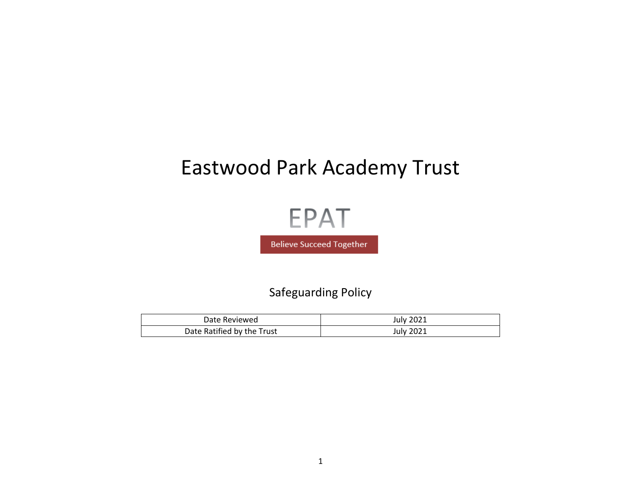# Eastwood Park Academy Trust

**EPAT** 

**Believe Succeed Together** 

Safeguarding Policy

| Date Reviewed              | July 2021        |
|----------------------------|------------------|
| Date Ratified by the Trust | <b>July 2021</b> |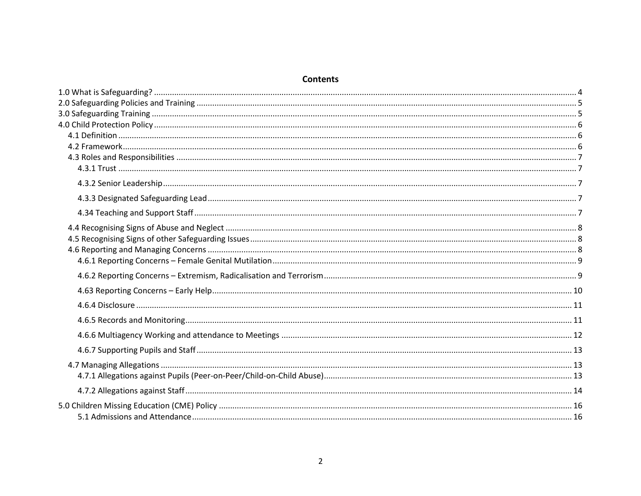### **Contents**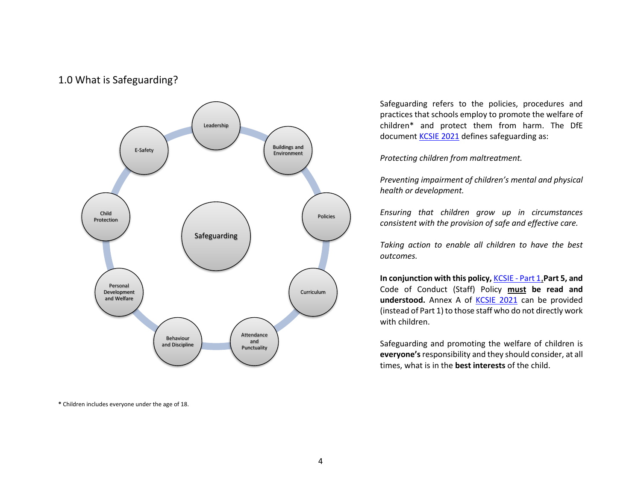### <span id="page-3-0"></span>1.0 What is Safeguarding?



**\*** Children includes everyone under the age of 18.

Safeguarding refers to the policies, procedures and practices that schools employ to promote the welfare of children\* and protect them from harm. The DfE document **KCSIE 2021** defines safeguarding as:

*Protecting children from maltreatment.*

*Preventing impairment of children's mental and physical health or development.*

*Ensuring that children grow up in circumstances consistent with the provision of safe and effective care.*

*Taking action to enable all children to have the best outcomes.* 

**In conjunction with this policy,** [KCSIE -](http://www.eastwoodacademy.co.uk/docs/KCSIE20Part1.pdf) Part 1,**Part 5, and**  [Code of Conduct \(Staff\) Policy](http://www.eastwoodacademy.co.uk/docs/EPAT%20Code%20of%20Conduct%20Policy18.pdf) **must be read and**  understood. Annex A of **KCSIE 2021** can be provided (instead of Part 1) to those staff who do not directly work with children.

Safeguarding and promoting the welfare of children is **everyone's**responsibility and they should consider, at all times, what is in the **best interests** of the child.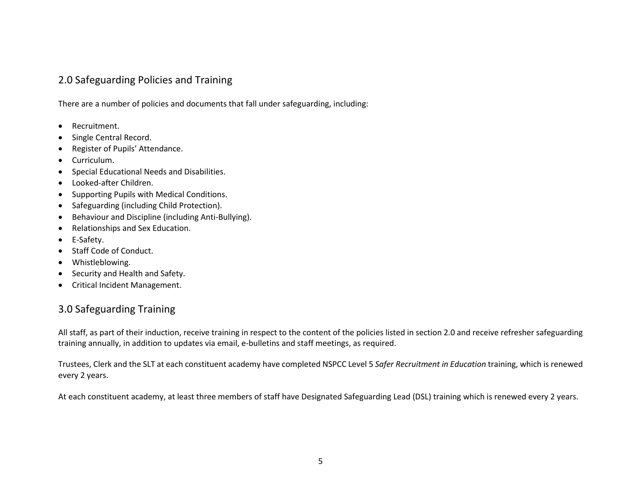### <span id="page-4-0"></span>2.0 Safeguarding Policies and Training

There are a number of policies and documents that fall under safeguarding, including:

- Recruitment.
- Single Central Record.
- Register of Pupils' Attendance.
- Curriculum.
- Special Educational Needs and Disabilities.
- Looked-after Children.
- Supporting Pupils with Medical Conditions.
- Safeguarding (including Child Protection).
- Behaviour and Discipline (including Anti-Bullying).
- Relationships and Sex Education.
- E-Safety.
- Staff Code of Conduct.
- Whistleblowing.
- Security and Health and Safety.
- <span id="page-4-1"></span>• Critical Incident Management.

### 3.0 Safeguarding Training

All staff, as part of their induction, receive training in respect to the content of the policies listed in section 2.0 and receive refresher safeguarding training annually, in addition to updates via email, e-bulletins and staff meetings, as required.

Trustees, Clerk and the SLT at each constituent academy have completed NSPCC Level 5 *Safer Recruitment in Education* training, which is renewed every 2 years.

At each constituent academy, at least three members of staff have Designated Safeguarding Lead (DSL) training which is renewed every 2 years.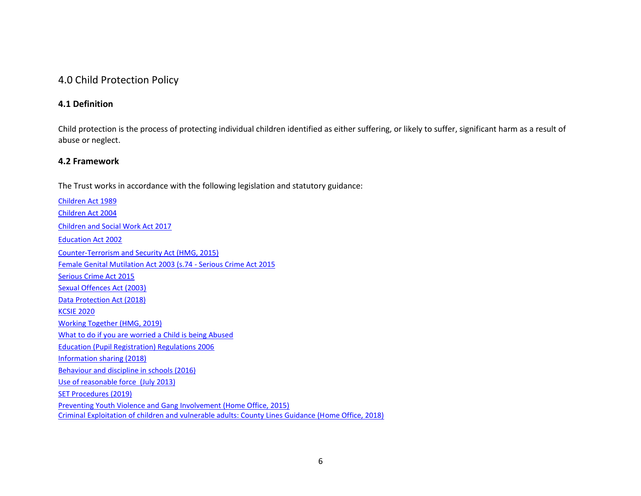### <span id="page-5-0"></span>4.0 Child Protection Policy

### <span id="page-5-1"></span>**4.1 Definition**

Child protection is the process of protecting individual children identified as either suffering, or likely to suffer, significant harm as a result of abuse or neglect.

### <span id="page-5-2"></span>**4.2 Framework**

The Trust works in accordance with the following legislation and statutory guidance:

[Children Act 1989](http://www.legislation.gov.uk/ukpga/1989/41/contents) [Children Act 2004](http://www.legislation.gov.uk/ukpga/2004/31/contents) [Children and Social Work Act 2017](http://www.legislation.gov.uk/ukpga/2017/16/contents/enacted) [Education Act 2002](http://www.legislation.gov.uk/ukpga/2002/32/contents) [Counter-Terrorism and Security Act \(HMG, 2015\)](http://www.legislation.gov.uk/ukpga/2015/6/contents) [Female Genital Mutilation Act 2003 \(s.74 -](http://www.legislation.gov.uk/ukpga/2015/9/part/5/crossheading/female-genital-mutilation/enacted) Serious Crime Act 2015 [Serious Crime Act 2015](https://www.gov.uk/government/collections/serious-crime-bill) [Sexual Offences Act \(2003\)](https://www.legislation.gov.uk/ukpga/2003/42/contents) [Data Protection Act \(2018\)](http://www.legislation.gov.uk/ukpga/2018/12/contents/enacted) [KCSIE 2020](http://www.eastwoodacademy.co.uk/docs/KCSIE20.pdf) [Working Together \(HMG, 2019\)](https://www.gov.uk/government/publications/working-together-to-safeguard-children--2)  [What to do if you are worried a Child is being Abused](http://www.eastwoodacademy.co.uk/docs/What%20to%20do.pdf) [Education \(Pupil Registration\) Regulations 2006](http://www.legislation.gov.uk/uksi/2006/1751/contents/made) [Information sharing \(2018\)](https://www.gov.uk/government/publications/safeguarding-practitioners-information-sharing-advice) [Behaviour and discipline in schools \(2016\)](https://www.gov.uk/government/publications/behaviour-and-discipline-in-schools) [Use of reasonable force \(](https://www.gov.uk/government/publications/use-of-reasonable-force-in-schools)July 2013) [SET Procedures \(2019\)](https://www.safeguardingsouthend.co.uk/children/index_3_3377965369.pdf) Preventing Youth Violence and Gang Involvement (Home Office, 2015) Criminal Exploitation of children and vulnerable adults: County Lines Guidance (Home Office, 2018)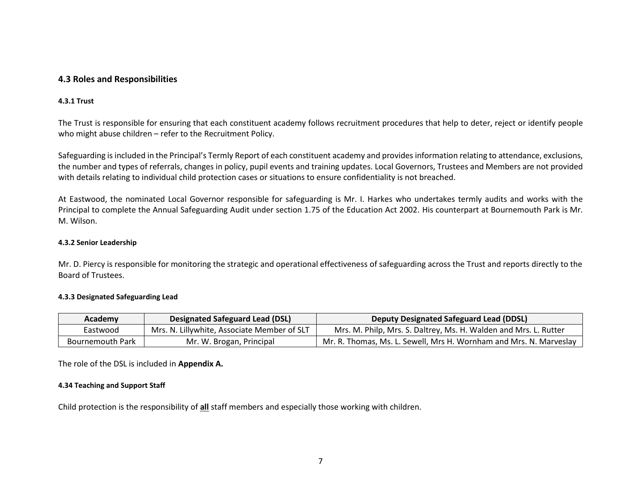### <span id="page-6-0"></span>**4.3 Roles and Responsibilities**

### <span id="page-6-1"></span>**4.3.1 Trust**

The Trust is responsible for ensuring that each constituent academy follows recruitment procedures that help to deter, reject or identify people who might abuse children – refer to the Recruitment Policy.

Safeguarding is included in the Principal's Termly Report of each constituent academy and provides information relating to attendance, exclusions, the number and types of referrals, changes in policy, pupil events and training updates. Local Governors, Trustees and Members are not provided with details relating to individual child protection cases or situations to ensure confidentiality is not breached.

At Eastwood, the nominated Local Governor responsible for safeguarding is Mr. I. Harkes who undertakes termly audits and works with the Principal to complete the Annual Safeguarding Audit under section 1.75 of the Education Act 2002. His counterpart at Bournemouth Park is Mr. M. Wilson.

### <span id="page-6-2"></span>**4.3.2 Senior Leadership**

Mr. D. Piercy is responsible for monitoring the strategic and operational effectiveness of safeguarding across the Trust and reports directly to the Board of Trustees.

#### <span id="page-6-3"></span>**4.3.3 Designated Safeguarding Lead**

| Academy          | <b>Designated Safeguard Lead (DSL)</b>      | Deputy Designated Safeguard Lead (DDSL)                            |
|------------------|---------------------------------------------|--------------------------------------------------------------------|
| Eastwood         | Mrs. N. Lillywhite, Associate Member of SLT | Mrs. M. Philp, Mrs. S. Daltrey, Ms. H. Walden and Mrs. L. Rutter   |
| Bournemouth Park | Mr. W. Brogan, Principal                    | Mr. R. Thomas, Ms. L. Sewell, Mrs H. Wornham and Mrs. N. Marveslay |

<span id="page-6-4"></span>The role of the DSL is included in **Appendix A.**

#### **4.34 Teaching and Support Staff**

Child protection is the responsibility of **all** staff members and especially those working with children.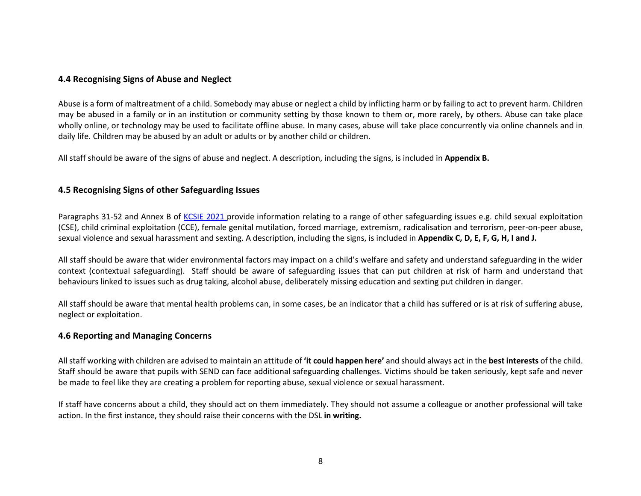### <span id="page-7-0"></span>**4.4 Recognising Signs of Abuse and Neglect**

Abuse is a form of maltreatment of a child. Somebody may abuse or neglect a child by inflicting harm or by failing to act to prevent harm. Children may be abused in a family or in an institution or community setting by those known to them or, more rarely, by others. Abuse can take place wholly online, or technology may be used to facilitate offline abuse. In many cases, abuse will take place concurrently via online channels and in daily life. Children may be abused by an adult or adults or by another child or children.

All staff should be aware of the signs of abuse and neglect. A description, including the signs, is included in **Appendix B.** 

### <span id="page-7-1"></span>**4.5 Recognising Signs of other Safeguarding Issues**

Paragraphs 31-52 and Annex B of [KCSIE 2021](http://www.eastwoodacademy.co.uk/docs/KCSIE2021.pdf) provide information relating to a range of other safeguarding issues e.g. child sexual exploitation (CSE), child criminal exploitation (CCE), female genital mutilation, forced marriage, extremism, radicalisation and terrorism, peer-on-peer abuse, sexual violence and sexual harassment and sexting. A description, including the signs, is included in **Appendix C, D, E, F, G, H, I and J.** 

All staff should be aware that wider environmental factors may impact on a child's welfare and safety and understand safeguarding in the wider context (contextual safeguarding). Staff should be aware of safeguarding issues that can put children at risk of harm and understand that behaviours linked to issues such as drug taking, alcohol abuse, deliberately missing education and sexting put children in danger.

All staff should be aware that mental health problems can, in some cases, be an indicator that a child has suffered or is at risk of suffering abuse, neglect or exploitation.

### <span id="page-7-2"></span>**4.6 Reporting and Managing Concerns**

All staff working with children are advised to maintain an attitude of **'it could happen here'** and should always act in the **best interests** of the child. Staff should be aware that pupils with SEND can face additional safeguarding challenges. Victims should be taken seriously, kept safe and never be made to feel like they are creating a problem for reporting abuse, sexual violence or sexual harassment.

If staff have concerns about a child, they should act on them immediately. They should not assume a colleague or another professional will take action. In the first instance, they should raise their concerns with the DSL **in writing.**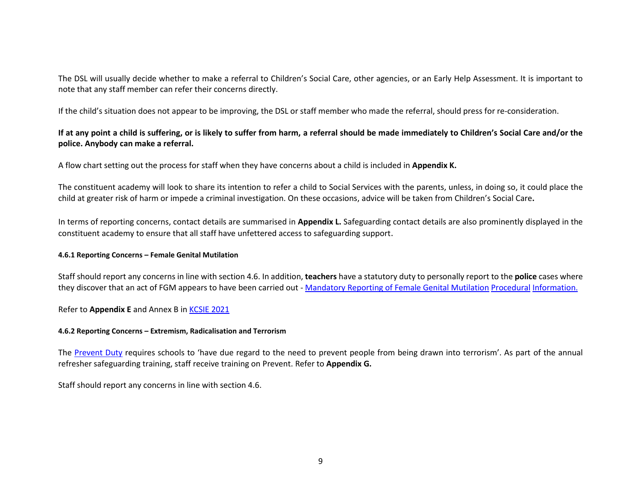The DSL will usually decide whether to make a referral to Children's Social Care, other agencies, or an Early Help Assessment. It is important to note that any staff member can refer their concerns directly.

If the child's situation does not appear to be improving, the DSL or staff member who made the referral, should press for re-consideration.

### **If at any point a child is suffering, or is likely to suffer from harm, a referral should be made immediately to Children's Social Care and/or the police. Anybody can make a referral.**

A flow chart setting out the process for staff when they have concerns about a child is included in **Appendix K.** 

The constituent academy will look to share its intention to refer a child to Social Services with the parents, unless, in doing so, it could place the child at greater risk of harm or impede a criminal investigation. On these occasions, advice will be taken from Children's Social Care**.**

In terms of reporting concerns, contact details are summarised in **Appendix L.** Safeguarding contact details are also prominently displayed in the constituent academy to ensure that all staff have unfettered access to safeguarding support.

### <span id="page-8-0"></span>**4.6.1 Reporting Concerns – Female Genital Mutilation**

Staff should report any concerns in line with section 4.6. In addition, **teachers** have a statutory duty to personally report to the **police** cases where they discover that an act of FGM appears to have been carried out - Mandatory [Reporting o](https://www.gov.uk/government/publications/mandatory-reporting-of-female-genital-mutilation-procedural-information)f [Female G](https://www.gov.uk/government/publications/mandatory-reporting-of-female-genital-mutilation-procedural-information)enital Mutilation Procedural Informatio[n.](https://www.gov.uk/government/publications/mandatory-reporting-of-female-genital-mutilation-procedural-information)

### <span id="page-8-1"></span>Refer to **Appendix E** and Annex B in [KCSIE 2021](http://www.eastwoodacademy.co.uk/docs/KCSIE2021.pdf)

### **4.6.2 Reporting Concerns – Extremism, Radicalisation and Terrorism**

The [Prevent Duty](https://www.gov.uk/government/uploads/system/uploads/attachment_data/file/439598/prevent-duty-departmental-advice-v6.pdf) requires schools to 'have due regard to the need to prevent people from being drawn into terrorism'. As part of the annual refresher safeguarding training, staff receive training on Prevent. Refer to **Appendix G.**

Staff should report any concerns in line with section 4.6.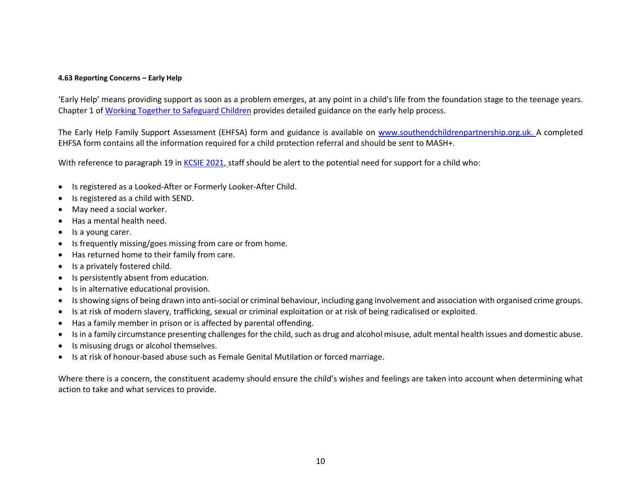#### <span id="page-9-0"></span>**4.63 Reporting Concerns – Early Help**

'Early Help' means providing support as soon as a problem emerges, at any point in a child's life from the foundation stage to the teenage years. Chapter 1 of [Working Together to Safeguard Children](https://assets.publishing.service.gov.uk/government/uploads/system/uploads/attachment_data/file/779401/Working_Together_to_Safeguard-Children.pdf) provides detailed guidance on the early help process.

The Early Help Family Support Assessment (EHFSA) form and guidance is available on [www.southendchildrenpartnership.org.uk.](http://www.southendchildrenpartnership.org.uk/) A completed EHFSA form contains all the information required for a child protection referral and should be sent to MASH+.

With reference to paragraph 19 in [KCSIE 2021,](http://www.eastwoodacademy.co.uk/docs/KCSIE2021.pdf) staff should be alert to the potential need for support for a child who:

- Is registered as a Looked-After or Formerly Looker-After Child.
- Is registered as a child with SEND.
- May need a social worker.
- Has a mental health need.
- Is a young carer.
- Is frequently missing/goes missing from care or from home.
- Has returned home to their family from care.
- Is a privately fostered child.
- Is persistently absent from education.
- Is in alternative educational provision.
- Is showing signs of being drawn into anti-social or criminal behaviour, including gang involvement and association with organised crime groups.
- Is at risk of modern slavery, trafficking, sexual or criminal exploitation or at risk of being radicalised or exploited.
- Has a family member in prison or is affected by parental offending.
- Is in a family circumstance presenting challenges for the child, such as drug and alcohol misuse, adult mental health issues and domestic abuse.
- Is misusing drugs or alcohol themselves.
- Is at risk of honour-based abuse such as Female Genital Mutilation or forced marriage.

Where there is a concern, the constituent academy should ensure the child's wishes and feelings are taken into account when determining what action to take and what services to provide.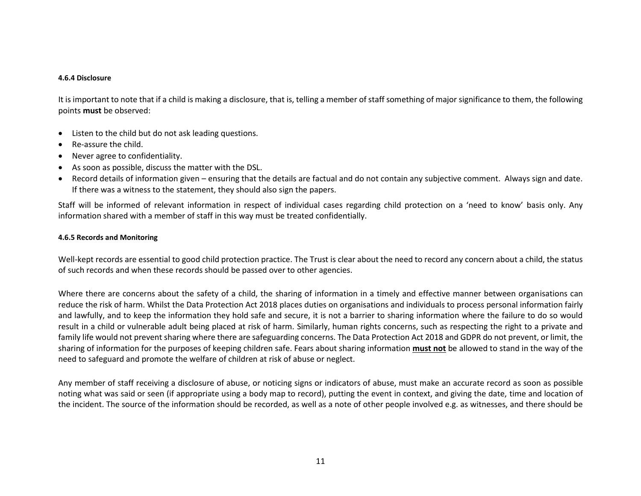#### <span id="page-10-0"></span>**4.6.4 Disclosure**

It is important to note that if a child is making a disclosure, that is, telling a member of staff something of major significance to them, the following points **must** be observed:

- Listen to the child but do not ask leading questions.
- Re-assure the child.
- Never agree to confidentiality.
- As soon as possible, discuss the matter with the DSL.
- Record details of information given ensuring that the details are factual and do not contain any subjective comment. Always sign and date. If there was a witness to the statement, they should also sign the papers.

Staff will be informed of relevant information in respect of individual cases regarding child protection on a 'need to know' basis only. Any information shared with a member of staff in this way must be treated confidentially.

#### <span id="page-10-1"></span>**4.6.5 Records and Monitoring**

Well-kept records are essential to good child protection practice. The Trust is clear about the need to record any concern about a child, the status of such records and when these records should be passed over to other agencies.

Where there are concerns about the safety of a child, the sharing of information in a timely and effective manner between organisations can reduce the risk of harm. Whilst the Data Protection Act 2018 places duties on organisations and individuals to process personal information fairly and lawfully, and to keep the information they hold safe and secure, it is not a barrier to sharing information where the failure to do so would result in a child or vulnerable adult being placed at risk of harm. Similarly, human rights concerns, such as respecting the right to a private and family life would not prevent sharing where there are safeguarding concerns. The Data Protection Act 2018 and GDPR do not prevent, or limit, the sharing of information for the purposes of keeping children safe. Fears about sharing information **must not** be allowed to stand in the way of the need to safeguard and promote the welfare of children at risk of abuse or neglect.

Any member of staff receiving a disclosure of abuse, or noticing signs or indicators of abuse, must make an accurate record as soon as possible noting what was said or seen (if appropriate using a body map to record), putting the event in context, and giving the date, time and location of the incident. The source of the information should be recorded, as well as a note of other people involved e.g. as witnesses, and there should be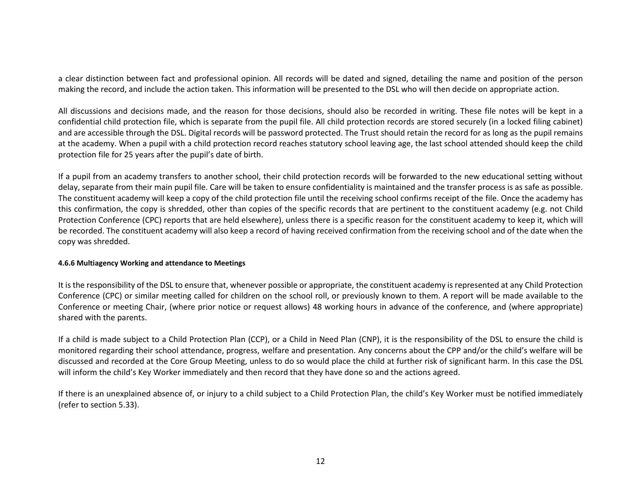a clear distinction between fact and professional opinion. All records will be dated and signed, detailing the name and position of the person making the record, and include the action taken. This information will be presented to the DSL who will then decide on appropriate action.

All discussions and decisions made, and the reason for those decisions, should also be recorded in writing. These file notes will be kept in a confidential child protection file, which is separate from the pupil file. All child protection records are stored securely (in a locked filing cabinet) and are accessible through the DSL. Digital records will be password protected. The Trust should retain the record for as long as the pupil remains at the academy. When a pupil with a child protection record reaches statutory school leaving age, the last school attended should keep the child protection file for 25 years after the pupil's date of birth.

If a pupil from an academy transfers to another school, their child protection records will be forwarded to the new educational setting without delay, separate from their main pupil file. Care will be taken to ensure confidentiality is maintained and the transfer process is as safe as possible. The constituent academy will keep a copy of the child protection file until the receiving school confirms receipt of the file. Once the academy has this confirmation, the copy is shredded, other than copies of the specific records that are pertinent to the constituent academy (e.g. not Child Protection Conference (CPC) reports that are held elsewhere), unless there is a specific reason for the constituent academy to keep it, which will be recorded. The constituent academy will also keep a record of having received confirmation from the receiving school and of the date when the copy was shredded.

#### <span id="page-11-0"></span>**4.6.6 Multiagency Working and attendance to Meetings**

It is the responsibility of the DSL to ensure that, whenever possible or appropriate, the constituent academy is represented at any Child Protection Conference (CPC) or similar meeting called for children on the school roll, or previously known to them. A report will be made available to the Conference or meeting Chair, (where prior notice or request allows) 48 working hours in advance of the conference, and (where appropriate) shared with the parents.

If a child is made subject to a Child Protection Plan (CCP), or a Child in Need Plan (CNP), it is the responsibility of the DSL to ensure the child is monitored regarding their school attendance, progress, welfare and presentation. Any concerns about the CPP and/or the child's welfare will be discussed and recorded at the Core Group Meeting, unless to do so would place the child at further risk of significant harm. In this case the DSL will inform the child's Key Worker immediately and then record that they have done so and the actions agreed.

If there is an unexplained absence of, or injury to a child subject to a Child Protection Plan, the child's Key Worker must be notified immediately (refer to section 5.33).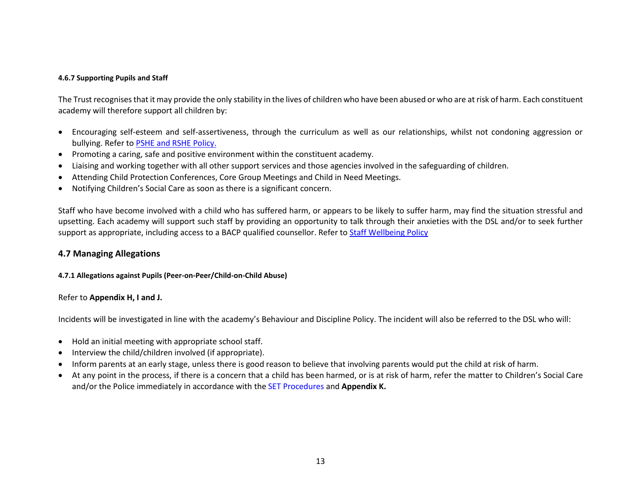### <span id="page-12-0"></span>**4.6.7 Supporting Pupils and Staff**

The Trust recognises that it may provide the only stability in the lives of children who have been abused or who are at risk of harm. Each constituent academy will therefore support all children by:

- Encouraging self-esteem and self-assertiveness, through the curriculum as well as our relationships, whilst not condoning aggression or bullying. Refer to [PSHE and RSHE Policy.](http://www.eastwoodacademy.co.uk/docs/EPAT%20PSHE%20and%20RSHE%20Policy20.pdf)
- Promoting a caring, safe and positive environment within the constituent academy.
- Liaising and working together with all other support services and those agencies involved in the safeguarding of children.
- Attending Child Protection Conferences, Core Group Meetings and Child in Need Meetings.
- Notifying Children's Social Care as soon as there is a significant concern.

Staff who have become involved with a child who has suffered harm, or appears to be likely to suffer harm, may find the situation stressful and upsetting. Each academy will support such staff by providing an opportunity to talk through their anxieties with the DSL and/or to seek further support as appropriate, including access to a BACP qualified counsellor. Refer to [Staff Wellbeing Policy](http://www.eastwoodacademy.co.uk/docs/Staff%20Wellbeing%20Policy20.pdf)

### <span id="page-12-1"></span>**4.7 Managing Allegations**

### <span id="page-12-2"></span>**4.7.1 Allegations against Pupils (Peer-on-Peer/Child-on-Child Abuse)**

### Refer to **Appendix H, I and J.**

Incidents will be investigated in line with the academy's Behaviour and Discipline Policy. The incident will also be referred to the DSL who will:

- Hold an initial meeting with appropriate school staff.
- Interview the child/children involved (if appropriate).
- Inform parents at an early stage, unless there is good reason to believe that involving parents would put the child at risk of harm.
- At any point in the process, if there is a concern that a child has been harmed, or is at risk of harm, refer the matter to Children's Social Care and/or the Police immediately in accordance with the [SET Procedures](https://www.safeguardingsouthend.co.uk/children/index_3_3377965369.pdf) and **Appendix K.**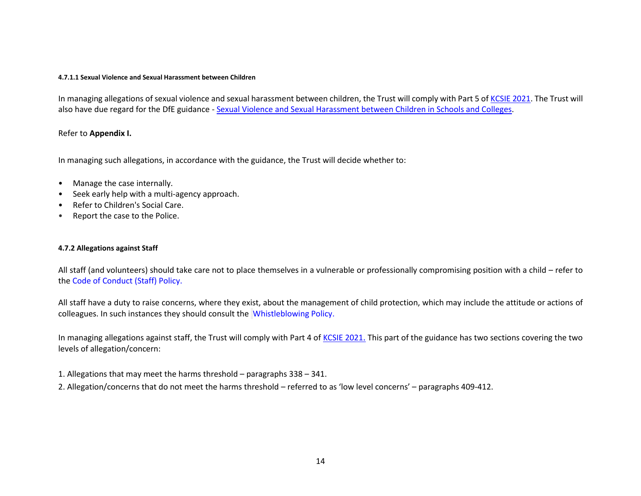#### **4.7.1.1 Sexual Violence and Sexual Harassment between Children**

In managing allegations of sexual violence and sexual harassment between children, the Trust will comply with Part 5 of [KCSIE 2021.](http://www.eastwoodacademy.co.uk/docs/KCSIE2021.pdf) The Trust will also have due regard for the DfE guidance - [Sexual Violence and Sexual Harassment between Children in Schools and Colleges.](https://www.gov.uk/government/publications/sexual-violence-and-sexual-harassment-between-children-in-schools-and-colleges)

### Refer to **Appendix I.**

In managing such allegations, in accordance with the guidance, the Trust will decide whether to:

- Manage the case internally.
- Seek early help with a multi-agency approach.
- Refer to Children's Social Care.
- Report the case to the Police.

#### <span id="page-13-0"></span>**4.7.2 Allegations against Staff**

All staff (and volunteers) should take care not to place themselves in a vulnerable or professionally compromising position with a child – refer to the [Code of Conduct \(Staff\)](http://www.eastwoodacademy.co.uk/docs/EPAT%20Code%20of%20Conduct%20Policy19.pdf) Policy.

All staff have a duty to raise concerns, where they exist, about the management of child protection, which may include the attitude or actions of colleagues. In such instances they should consult the [Whistleblowing Policy.](http://www.eastwoodacademy.co.uk/docs/EPAT%20Whistleblowing%20Policy19.pdf)

In managing allegations against staff, the Trust will comply with Part 4 of [KCSIE 2021](http://www.eastwoodacademy.co.uk/docs/KCSIE2021.pdf). This part of the guidance has two sections covering the two levels of allegation/concern:

1. Allegations that may meet the harms threshold – paragraphs 338 – 341.

2. Allegation/concerns that do not meet the harms threshold – referred to as 'low level concerns' – paragraphs 409-412.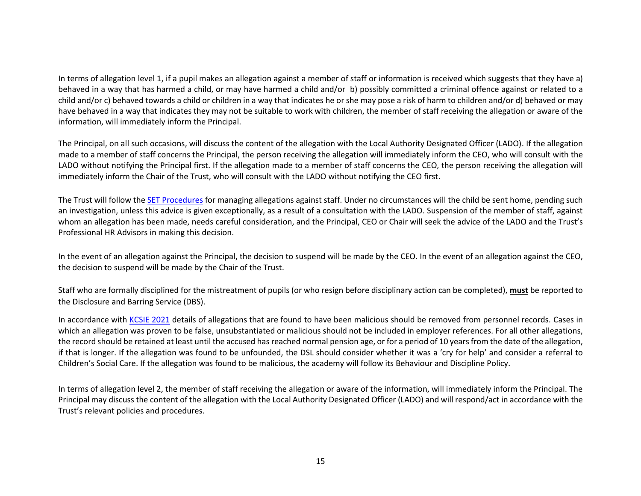In terms of allegation level 1, if a pupil makes an allegation against a member of staff or information is received which suggests that they have a) behaved in a way that has harmed a child, or may have harmed a child and/or b) possibly committed a criminal offence against or related to a child and/or c) behaved towards a child or children in a way that indicates he or she may pose a risk of harm to children and/or d) behaved or may have behaved in a way that indicates they may not be suitable to work with children, the member of staff receiving the allegation or aware of the information, will immediately inform the Principal.

The Principal, on all such occasions, will discuss the content of the allegation with the Local Authority Designated Officer (LADO). If the allegation made to a member of staff concerns the Principal, the person receiving the allegation will immediately inform the CEO, who will consult with the LADO without notifying the Principal first. If the allegation made to a member of staff concerns the CEO, the person receiving the allegation will immediately inform the Chair of the Trust, who will consult with the LADO without notifying the CEO first.

The Trust will follow the [SET Procedures](https://www.escb.co.uk/media/2016/set-procedures-may-2019-final.pdf) for managing allegations against staff. Under no circumstances will the child be sent home, pending such an investigation, unless this advice is given exceptionally, as a result of a consultation with the LADO. Suspension of the member of staff, against whom an allegation has been made, needs careful consideration, and the Principal, CEO or Chair will seek the advice of the LADO and the Trust's Professional HR Advisors in making this decision.

In the event of an allegation against the Principal, the decision to suspend will be made by the CEO. In the event of an allegation against the CEO, the decision to suspend will be made by the Chair of the Trust.

Staff who are formally disciplined for the mistreatment of pupils (or who resign before disciplinary action can be completed), **must** be reported to the Disclosure and Barring Service (DBS).

In accordance with [KCSIE 2021](http://www.eastwoodacademy.co.uk/docs/KCSIE2021.pdf) details of allegations that are found to have been malicious should be removed from personnel records. Cases in which an allegation was proven to be false, unsubstantiated or malicious should not be included in employer references. For all other allegations, the record should be retained at least until the accused has reached normal pension age, or for a period of 10 years from the date of the allegation, if that is longer. If the allegation was found to be unfounded, the DSL should consider whether it was a 'cry for help' and consider a referral to Children's Social Care. If the allegation was found to be malicious, the academy will follow its Behaviour and Discipline Policy.

In terms of allegation level 2, the member of staff receiving the allegation or aware of the information, will immediately inform the Principal. The Principal may discuss the content of the allegation with the Local Authority Designated Officer (LADO) and will respond/act in accordance with the Trust's relevant policies and procedures.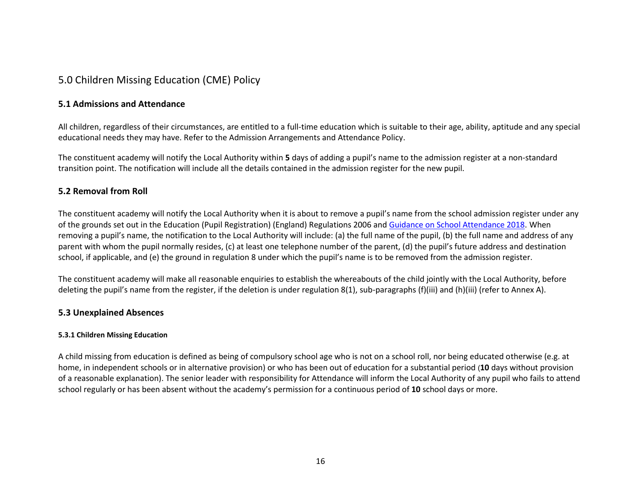### <span id="page-15-0"></span>5.0 Children Missing Education (CME) Policy

### <span id="page-15-1"></span>**5.1 Admissions and Attendance**

All children, regardless of their circumstances, are entitled to a full-time education which is suitable to their age, ability, aptitude and any special educational needs they may have. Refer to the Admission Arrangements and Attendance Policy.

The constituent academy will notify the Local Authority within **5** days of adding a pupil's name to the admission register at a non-standard transition point. The notification will include all the details contained in the admission register for the new pupil.

### <span id="page-15-2"></span>**5.2 Removal from Roll**

The constituent academy will notify the Local Authority when it is about to remove a pupil's name from the school admission register under any of the grounds set out in the Education (Pupil Registration) (England) Regulations 2006 an[d Guidance on School Attendance 2018.](https://www.gov.uk/government/publications/school-attendance) When removing a pupil's name, the notification to the Local Authority will include: (a) the full name of the pupil, (b) the full name and address of any parent with whom the pupil normally resides, (c) at least one telephone number of the parent, (d) the pupil's future address and destination school, if applicable, and (e) the ground in regulation 8 under which the pupil's name is to be removed from the admission register.

The constituent academy will make all reasonable enquiries to establish the whereabouts of the child jointly with the Local Authority, before deleting the pupil's name from the register, if the deletion is under regulation 8(1), sub-paragraphs (f)(iii) and (h)(iii) (refer to Annex A).

### <span id="page-15-3"></span>**5.3 Unexplained Absences**

### <span id="page-15-4"></span>**5.3.1 Children Missing Education**

A child missing from education is defined as being of compulsory school age who is not on a school roll, nor being educated otherwise (e.g. at home, in independent schools or in alternative provision) or who has been out of education for a substantial period (**10** days without provision of a reasonable explanation). The senior leader with responsibility for Attendance will inform the Local Authority of any pupil who fails to attend school regularly or has been absent without the academy's permission for a continuous period of **10** school days or more.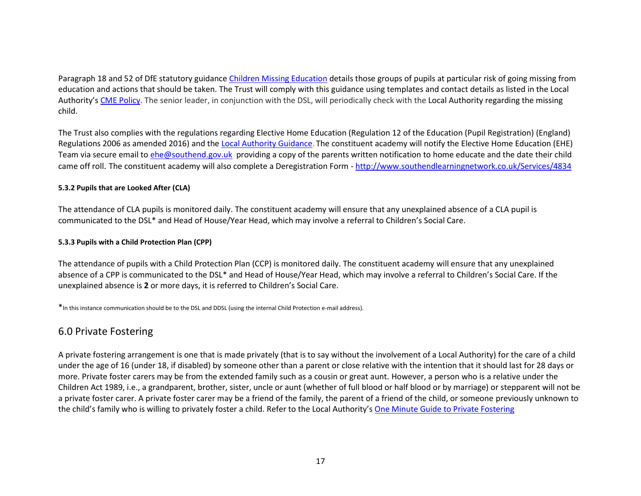Paragraph 18 and 52 of DfE statutory guidance [Children Missing Education](https://www.gov.uk/government/uploads/system/uploads/attachment_data/file/550416/Children_Missing_Education_-_statutory_guidance.pdf) details those groups of pupils at particular risk of going missing from education and actions that should be taken. The Trust will comply with this guidance using templates and contact details as listed in the Local Authority's [CME Policy.](http://www.eastwoodacademy.co.uk/docs/CME%20Policy.pdf) The senior leader, in conjunction with the DSL, will periodically check with the Local Authority regarding the missing child.

The Trust also complies with the regulations regarding Elective Home Education (Regulation 12 of the Education (Pupil Registration) (England) Regulations 2006 as amended 2016) and the [Local Authority Guidance](file:///C:/Users/NHouchen/Downloads/EHE%20Policy%20November%202019.pdf). The constituent academy will notify the Elective Home Education (EHE) Team via secure email t[o ehe@southend.gov.uk](mailto:ehe@southend.gov.uk) providing a copy of the parents written notification to home educate and the date their child came off roll. The constituent academy will also complete a Deregistration Form - <http://www.southendlearningnetwork.co.uk/Services/4834>

### <span id="page-16-0"></span>**5.3.2 Pupils that are Looked After (CLA)**

The attendance of CLA pupils is monitored daily. The constituent academy will ensure that any unexplained absence of a CLA pupil is communicated to the DSL\* and Head of House/Year Head, which may involve a referral to Children's Social Care.

### <span id="page-16-1"></span>**5.3.3 Pupils with a Child Protection Plan (CPP)**

The attendance of pupils with a Child Protection Plan (CCP) is monitored daily. The constituent academy will ensure that any unexplained absence of a CPP is communicated to the DSL\* and Head of House/Year Head, which may involve a referral to Children's Social Care. If the unexplained absence is **2** or more days, it is referred to Children's Social Care.

<span id="page-16-2"></span>\*In this instance communication should be to the DSL and DDSL (using the internal Child Protection e-mail address).

### 6.0 Private Fostering

A private fostering arrangement is one that is made privately (that is to say without the involvement of a Local Authority) for the care of a child under the age of 16 (under 18, if disabled) by someone other than a parent or close relative with the intention that it should last for 28 days or more. Private foster carers may be from the extended family such as a cousin or great aunt. However, a person who is a relative under the Children Act 1989, i.e., a grandparent, brother, sister, uncle or aunt (whether of full blood or half blood or by marriage) or stepparent will not be a private foster carer. A private foster carer may be a friend of the family, the parent of a friend of the child, or someone previously unknown to the child's family who is willing to privately foster a child. Refer to the Local Authority's [One Minute Guide to Private Fostering](http://www.eastwoodacademy.co.uk/docs/Private%20Fostering.pdf)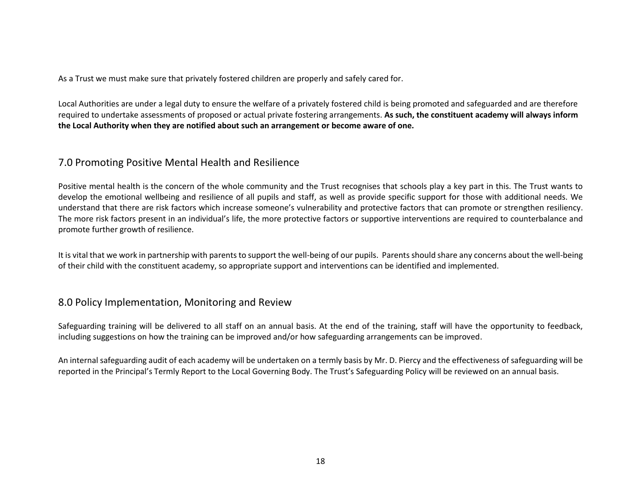As a Trust we must make sure that privately fostered children are properly and safely cared for.

Local Authorities are under a legal duty to ensure the welfare of a privately fostered child is being promoted and safeguarded and are therefore required to undertake assessments of proposed or actual private fostering arrangements. **As such, the constituent academy will always inform the Local Authority when they are notified about such an arrangement or become aware of one.**

### <span id="page-17-0"></span>7.0 Promoting Positive Mental Health and Resilience

Positive mental health is the concern of the whole community and the Trust recognises that schools play a key part in this. The Trust wants to develop the emotional wellbeing and resilience of all pupils and staff, as well as provide specific support for those with additional needs. We understand that there are risk factors which increase someone's vulnerability and protective factors that can promote or strengthen resiliency. The more risk factors present in an individual's life, the more protective factors or supportive interventions are required to counterbalance and promote further growth of resilience.

It is vital that we work in partnership with parents to support the well-being of our pupils. Parents should share any concerns about the well-being of their child with the constituent academy, so appropriate support and interventions can be identified and implemented.

### <span id="page-17-1"></span>8.0 Policy Implementation, Monitoring and Review

Safeguarding training will be delivered to all staff on an annual basis. At the end of the training, staff will have the opportunity to feedback, including suggestions on how the training can be improved and/or how safeguarding arrangements can be improved.

An internal safeguarding audit of each academy will be undertaken on a termly basis by Mr. D. Piercy and the effectiveness of safeguarding will be reported in the Principal's Termly Report to the Local Governing Body. The Trust's Safeguarding Policy will be reviewed on an annual basis.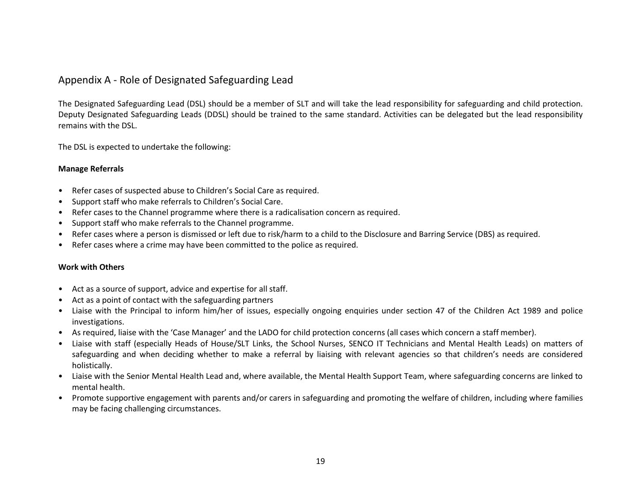### <span id="page-18-0"></span>Appendix A - Role of Designated Safeguarding Lead

The Designated Safeguarding Lead (DSL) should be a member of SLT and will take the lead responsibility for safeguarding and child protection. Deputy Designated Safeguarding Leads (DDSL) should be trained to the same standard. Activities can be delegated but the lead responsibility remains with the DSL.

The DSL is expected to undertake the following:

### **Manage Referrals**

- Refer cases of suspected abuse to Children's Social Care as required.
- Support staff who make referrals to Children's Social Care.
- Refer cases to the Channel programme where there is a radicalisation concern as required.
- Support staff who make referrals to the Channel programme.
- Refer cases where a person is dismissed or left due to risk/harm to a child to the Disclosure and Barring Service (DBS) as required.
- Refer cases where a crime may have been committed to the police as required.

### **Work with Others**

- Act as a source of support, advice and expertise for all staff.
- Act as a point of contact with the safeguarding partners
- Liaise with the Principal to inform him/her of issues, especially ongoing enquiries under section 47 of the Children Act 1989 and police investigations.
- As required, liaise with the 'Case Manager' and the LADO for child protection concerns (all cases which concern a staff member).
- Liaise with staff (especially Heads of House/SLT Links, the School Nurses, SENCO IT Technicians and Mental Health Leads) on matters of safeguarding and when deciding whether to make a referral by liaising with relevant agencies so that children's needs are considered holistically.
- Liaise with the Senior Mental Health Lead and, where available, the Mental Health Support Team, where safeguarding concerns are linked to mental health.
- Promote supportive engagement with parents and/or carers in safeguarding and promoting the welfare of children, including where families may be facing challenging circumstances.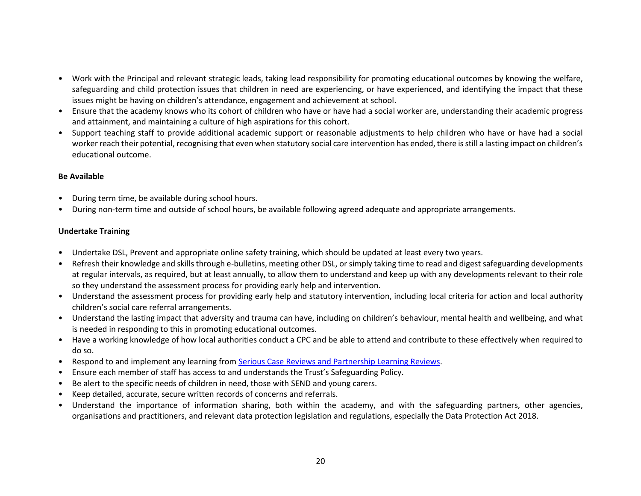- Work with the Principal and relevant strategic leads, taking lead responsibility for promoting educational outcomes by knowing the welfare, safeguarding and child protection issues that children in need are experiencing, or have experienced, and identifying the impact that these issues might be having on children's attendance, engagement and achievement at school.
- Ensure that the academy knows who its cohort of children who have or have had a social worker are, understanding their academic progress and attainment, and maintaining a culture of high aspirations for this cohort.
- Support teaching staff to provide additional academic support or reasonable adjustments to help children who have or have had a social worker reach their potential, recognising that even when statutory social care intervention has ended, there is still a lasting impact on children's educational outcome.

### **Be Available**

- During term time, be available during school hours.
- During non-term time and outside of school hours, be available following agreed adequate and appropriate arrangements.

### **Undertake Training**

- Undertake DSL, Prevent and appropriate online safety training, which should be updated at least every two years.
- Refresh their knowledge and skills through e-bulletins, meeting other DSL, or simply taking time to read and digest safeguarding developments at regular intervals, as required, but at least annually, to allow them to understand and keep up with any developments relevant to their role so they understand the assessment process for providing early help and intervention.
- Understand the assessment process for providing early help and statutory intervention, including local criteria for action and local authority children's social care referral arrangements.
- Understand the lasting impact that adversity and trauma can have, including on children's behaviour, mental health and wellbeing, and what is needed in responding to this in promoting educational outcomes.
- Have a working knowledge of how local authorities conduct a CPC and be able to attend and contribute to these effectively when required to do so.
- Respond to and implement any learning fro[m Serious Case Reviews and Partnership Learning Reviews.](https://learning.nspcc.org.uk/case-reviews/learning-from-case-review-briefings/)
- Ensure each member of staff has access to and understands the Trust's Safeguarding Policy.
- Be alert to the specific needs of children in need, those with SEND and young carers.
- Keep detailed, accurate, secure written records of concerns and referrals.
- Understand the importance of information sharing, both within the academy, and with the safeguarding partners, other agencies, organisations and practitioners, and relevant data protection legislation and regulations, especially the Data Protection Act 2018.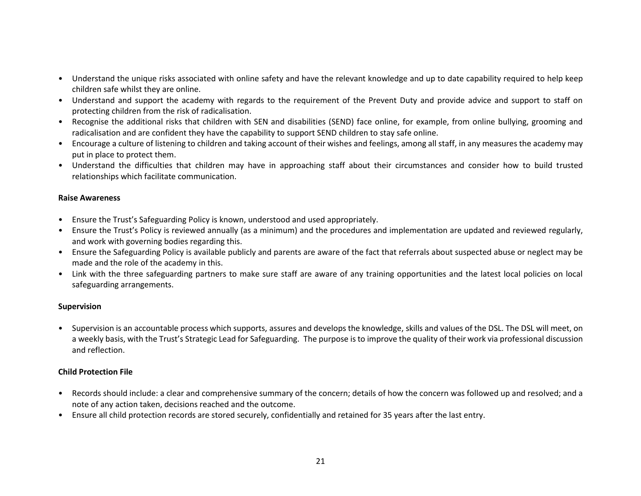- Understand the unique risks associated with online safety and have the relevant knowledge and up to date capability required to help keep children safe whilst they are online.
- Understand and support the academy with regards to the requirement of the Prevent Duty and provide advice and support to staff on protecting children from the risk of radicalisation.
- Recognise the additional risks that children with SEN and disabilities (SEND) face online, for example, from online bullying, grooming and radicalisation and are confident they have the capability to support SEND children to stay safe online.
- Encourage a culture of listening to children and taking account of their wishes and feelings, among all staff, in any measures the academy may put in place to protect them.
- Understand the difficulties that children may have in approaching staff about their circumstances and consider how to build trusted relationships which facilitate communication.

### **Raise Awareness**

- Ensure the Trust's Safeguarding Policy is known, understood and used appropriately.
- Ensure the Trust's Policy is reviewed annually (as a minimum) and the procedures and implementation are updated and reviewed regularly, and work with governing bodies regarding this.
- Ensure the Safeguarding Policy is available publicly and parents are aware of the fact that referrals about suspected abuse or neglect may be made and the role of the academy in this.
- Link with the three safeguarding partners to make sure staff are aware of any training opportunities and the latest local policies on local safeguarding arrangements.

### **Supervision**

• Supervision is an accountable process which supports, assures and develops the knowledge, skills and values of the DSL. The DSL will meet, on a weekly basis, with the Trust's Strategic Lead for Safeguarding. The purpose is to improve the quality of their work via professional discussion and reflection.

### **Child Protection File**

- Records should include: a clear and comprehensive summary of the concern; details of how the concern was followed up and resolved; and a note of any action taken, decisions reached and the outcome.
- Ensure all child protection records are stored securely, confidentially and retained for 35 years after the last entry.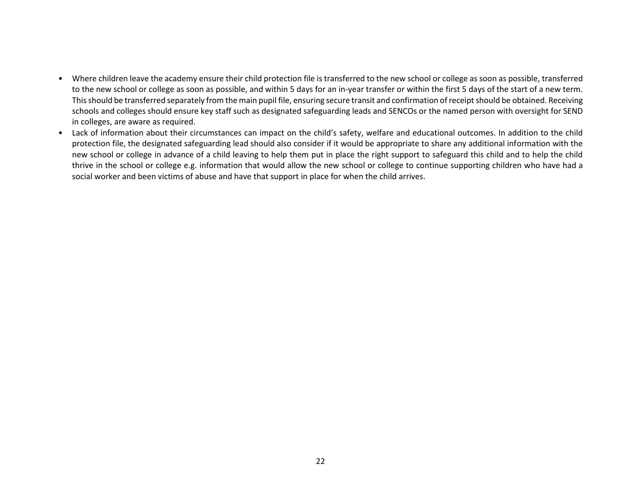- Where children leave the academy ensure their child protection file is transferred to the new school or college as soon as possible, transferred to the new school or college as soon as possible, and within 5 days for an in-year transfer or within the first 5 days of the start of a new term. This should be transferred separately from the main pupil file, ensuring secure transit and confirmation of receipt should be obtained. Receiving schools and colleges should ensure key staff such as designated safeguarding leads and SENCOs or the named person with oversight for SEND in colleges, are aware as required.
- Lack of information about their circumstances can impact on the child's safety, welfare and educational outcomes. In addition to the child protection file, the designated safeguarding lead should also consider if it would be appropriate to share any additional information with the new school or college in advance of a child leaving to help them put in place the right support to safeguard this child and to help the child thrive in the school or college e.g. information that would allow the new school or college to continue supporting children who have had a social worker and been victims of abuse and have that support in place for when the child arrives.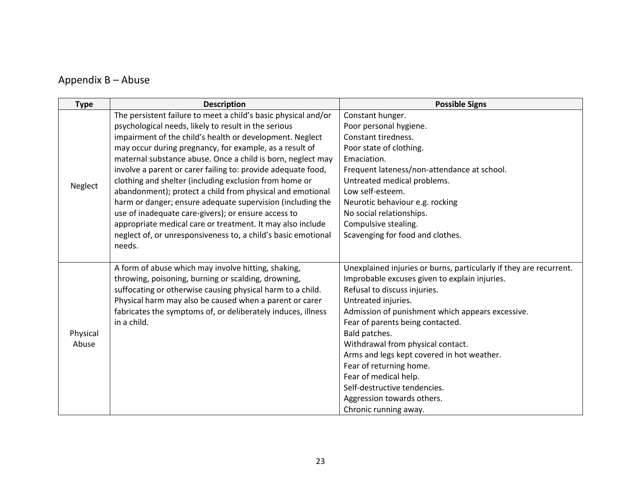## <span id="page-22-0"></span>Appendix B – Abuse

| <b>Type</b> | <b>Description</b>                                             | <b>Possible Signs</b>                                              |
|-------------|----------------------------------------------------------------|--------------------------------------------------------------------|
|             | The persistent failure to meet a child's basic physical and/or | Constant hunger.                                                   |
|             | psychological needs, likely to result in the serious           | Poor personal hygiene.                                             |
|             | impairment of the child's health or development. Neglect       | Constant tiredness.                                                |
|             | may occur during pregnancy, for example, as a result of        | Poor state of clothing.                                            |
|             | maternal substance abuse. Once a child is born, neglect may    | Emaciation.                                                        |
|             | involve a parent or carer failing to: provide adequate food,   | Frequent lateness/non-attendance at school.                        |
| Neglect     | clothing and shelter (including exclusion from home or         | Untreated medical problems.                                        |
|             | abandonment); protect a child from physical and emotional      | Low self-esteem.                                                   |
|             | harm or danger; ensure adequate supervision (including the     | Neurotic behaviour e.g. rocking                                    |
|             | use of inadequate care-givers); or ensure access to            | No social relationships.                                           |
|             | appropriate medical care or treatment. It may also include     | Compulsive stealing.                                               |
|             | neglect of, or unresponsiveness to, a child's basic emotional  | Scavenging for food and clothes.                                   |
|             | needs.                                                         |                                                                    |
|             |                                                                |                                                                    |
|             | A form of abuse which may involve hitting, shaking,            | Unexplained injuries or burns, particularly if they are recurrent. |
|             | throwing, poisoning, burning or scalding, drowning,            | Improbable excuses given to explain injuries.                      |
|             | suffocating or otherwise causing physical harm to a child.     | Refusal to discuss injuries.                                       |
|             | Physical harm may also be caused when a parent or carer        | Untreated injuries.                                                |
|             | fabricates the symptoms of, or deliberately induces, illness   | Admission of punishment which appears excessive.                   |
|             | in a child.                                                    | Fear of parents being contacted.                                   |
| Physical    |                                                                | Bald patches.                                                      |
| Abuse       |                                                                | Withdrawal from physical contact.                                  |
|             |                                                                | Arms and legs kept covered in hot weather.                         |
|             |                                                                | Fear of returning home.                                            |
|             |                                                                | Fear of medical help.                                              |
|             |                                                                | Self-destructive tendencies.                                       |
|             |                                                                | Aggression towards others.                                         |
|             |                                                                | Chronic running away.                                              |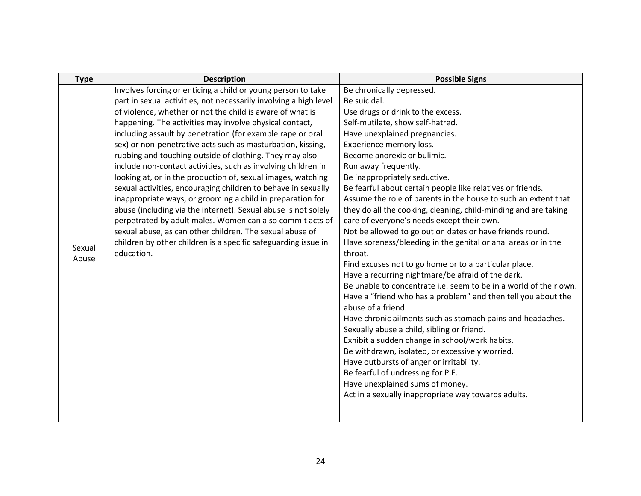| <b>Type</b> | <b>Description</b>                                                           | <b>Possible Signs</b>                                                    |
|-------------|------------------------------------------------------------------------------|--------------------------------------------------------------------------|
|             | Involves forcing or enticing a child or young person to take                 | Be chronically depressed.                                                |
|             | part in sexual activities, not necessarily involving a high level            | Be suicidal.                                                             |
|             | of violence, whether or not the child is aware of what is                    | Use drugs or drink to the excess.                                        |
|             | happening. The activities may involve physical contact,                      | Self-mutilate, show self-hatred.                                         |
|             | including assault by penetration (for example rape or oral                   | Have unexplained pregnancies.                                            |
|             | sex) or non-penetrative acts such as masturbation, kissing,                  | Experience memory loss.                                                  |
|             | rubbing and touching outside of clothing. They may also                      | Become anorexic or bulimic.                                              |
|             | include non-contact activities, such as involving children in                | Run away frequently.                                                     |
|             | looking at, or in the production of, sexual images, watching                 | Be inappropriately seductive.                                            |
|             | sexual activities, encouraging children to behave in sexually                | Be fearful about certain people like relatives or friends.               |
|             | inappropriate ways, or grooming a child in preparation for                   | Assume the role of parents in the house to such an extent that           |
|             | abuse (including via the internet). Sexual abuse is not solely               | they do all the cooking, cleaning, child-minding and are taking          |
|             | perpetrated by adult males. Women can also commit acts of                    | care of everyone's needs except their own.                               |
|             | sexual abuse, as can other children. The sexual abuse of                     | Not be allowed to go out on dates or have friends round.                 |
| Sexual      | children by other children is a specific safeguarding issue in<br>education. | Have soreness/bleeding in the genital or anal areas or in the<br>throat. |
| Abuse       |                                                                              | Find excuses not to go home or to a particular place.                    |
|             |                                                                              | Have a recurring nightmare/be afraid of the dark.                        |
|             |                                                                              | Be unable to concentrate i.e. seem to be in a world of their own.        |
|             |                                                                              | Have a "friend who has a problem" and then tell you about the            |
|             |                                                                              | abuse of a friend.                                                       |
|             |                                                                              | Have chronic ailments such as stomach pains and headaches.               |
|             |                                                                              | Sexually abuse a child, sibling or friend.                               |
|             |                                                                              | Exhibit a sudden change in school/work habits.                           |
|             |                                                                              | Be withdrawn, isolated, or excessively worried.                          |
|             |                                                                              | Have outbursts of anger or irritability.                                 |
|             |                                                                              | Be fearful of undressing for P.E.                                        |
|             |                                                                              | Have unexplained sums of money.                                          |
|             |                                                                              | Act in a sexually inappropriate way towards adults.                      |
|             |                                                                              |                                                                          |
|             |                                                                              |                                                                          |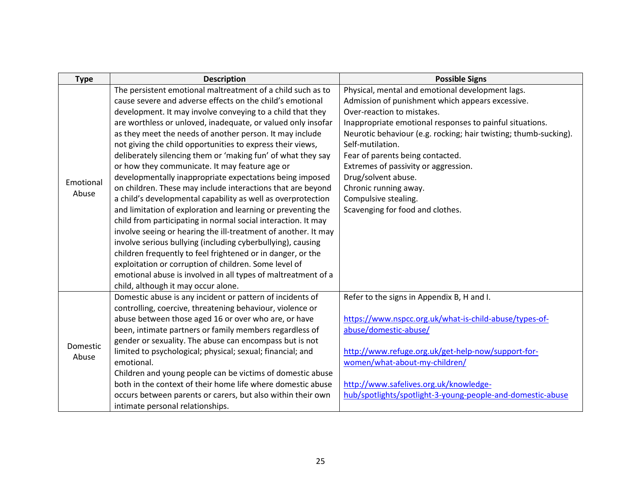| <b>Type</b> | <b>Description</b>                                             | <b>Possible Signs</b>                                            |
|-------------|----------------------------------------------------------------|------------------------------------------------------------------|
|             | The persistent emotional maltreatment of a child such as to    | Physical, mental and emotional development lags.                 |
|             | cause severe and adverse effects on the child's emotional      | Admission of punishment which appears excessive.                 |
|             | development. It may involve conveying to a child that they     | Over-reaction to mistakes.                                       |
|             | are worthless or unloved, inadequate, or valued only insofar   | Inappropriate emotional responses to painful situations.         |
|             | as they meet the needs of another person. It may include       | Neurotic behaviour (e.g. rocking; hair twisting; thumb-sucking). |
|             | not giving the child opportunities to express their views,     | Self-mutilation.                                                 |
|             | deliberately silencing them or 'making fun' of what they say   | Fear of parents being contacted.                                 |
|             | or how they communicate. It may feature age or                 | Extremes of passivity or aggression.                             |
| Emotional   | developmentally inappropriate expectations being imposed       | Drug/solvent abuse.                                              |
| Abuse       | on children. These may include interactions that are beyond    | Chronic running away.                                            |
|             | a child's developmental capability as well as overprotection   | Compulsive stealing.                                             |
|             | and limitation of exploration and learning or preventing the   | Scavenging for food and clothes.                                 |
|             | child from participating in normal social interaction. It may  |                                                                  |
|             | involve seeing or hearing the ill-treatment of another. It may |                                                                  |
|             | involve serious bullying (including cyberbullying), causing    |                                                                  |
|             | children frequently to feel frightened or in danger, or the    |                                                                  |
|             | exploitation or corruption of children. Some level of          |                                                                  |
|             | emotional abuse is involved in all types of maltreatment of a  |                                                                  |
|             | child, although it may occur alone.                            |                                                                  |
|             | Domestic abuse is any incident or pattern of incidents of      | Refer to the signs in Appendix B, H and I.                       |
|             | controlling, coercive, threatening behaviour, violence or      |                                                                  |
|             | abuse between those aged 16 or over who are, or have           | https://www.nspcc.org.uk/what-is-child-abuse/types-of-           |
|             | been, intimate partners or family members regardless of        | abuse/domestic-abuse/                                            |
| Domestic    | gender or sexuality. The abuse can encompass but is not        |                                                                  |
| Abuse       | limited to psychological; physical; sexual; financial; and     | http://www.refuge.org.uk/get-help-now/support-for-               |
|             | emotional.                                                     | women/what-about-my-children/                                    |
|             | Children and young people can be victims of domestic abuse     |                                                                  |
|             | both in the context of their home life where domestic abuse    | http://www.safelives.org.uk/knowledge-                           |
|             | occurs between parents or carers, but also within their own    | hub/spotlights/spotlight-3-young-people-and-domestic-abuse       |
|             | intimate personal relationships.                               |                                                                  |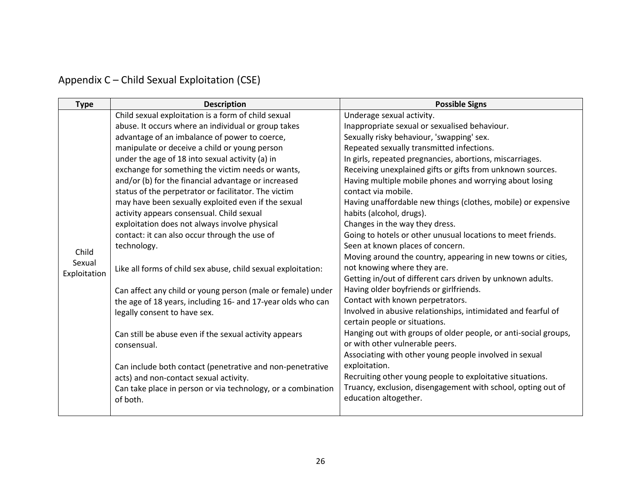# <span id="page-25-0"></span>Appendix C – Child Sexual Exploitation (CSE)

| <b>Type</b>  | <b>Description</b>                                            | <b>Possible Signs</b>                                           |
|--------------|---------------------------------------------------------------|-----------------------------------------------------------------|
|              | Child sexual exploitation is a form of child sexual           | Underage sexual activity.                                       |
|              | abuse. It occurs where an individual or group takes           | Inappropriate sexual or sexualised behaviour.                   |
|              | advantage of an imbalance of power to coerce,                 | Sexually risky behaviour, 'swapping' sex.                       |
|              | manipulate or deceive a child or young person                 | Repeated sexually transmitted infections.                       |
|              | under the age of 18 into sexual activity (a) in               | In girls, repeated pregnancies, abortions, miscarriages.        |
|              | exchange for something the victim needs or wants,             | Receiving unexplained gifts or gifts from unknown sources.      |
|              | and/or (b) for the financial advantage or increased           | Having multiple mobile phones and worrying about losing         |
|              | status of the perpetrator or facilitator. The victim          | contact via mobile.                                             |
|              | may have been sexually exploited even if the sexual           | Having unaffordable new things (clothes, mobile) or expensive   |
|              | activity appears consensual. Child sexual                     | habits (alcohol, drugs).                                        |
|              | exploitation does not always involve physical                 | Changes in the way they dress.                                  |
|              | contact: it can also occur through the use of                 | Going to hotels or other unusual locations to meet friends.     |
| Child        | technology.                                                   | Seen at known places of concern.                                |
| Sexual       |                                                               | Moving around the country, appearing in new towns or cities,    |
| Exploitation | Like all forms of child sex abuse, child sexual exploitation: | not knowing where they are.                                     |
|              |                                                               | Getting in/out of different cars driven by unknown adults.      |
|              | Can affect any child or young person (male or female) under   | Having older boyfriends or girlfriends.                         |
|              | the age of 18 years, including 16- and 17-year olds who can   | Contact with known perpetrators.                                |
|              | legally consent to have sex.                                  | Involved in abusive relationships, intimidated and fearful of   |
|              |                                                               | certain people or situations.                                   |
|              | Can still be abuse even if the sexual activity appears        | Hanging out with groups of older people, or anti-social groups, |
|              | consensual.                                                   | or with other vulnerable peers.                                 |
|              |                                                               | Associating with other young people involved in sexual          |
|              | Can include both contact (penetrative and non-penetrative     | exploitation.                                                   |
|              | acts) and non-contact sexual activity.                        | Recruiting other young people to exploitative situations.       |
|              | Can take place in person or via technology, or a combination  | Truancy, exclusion, disengagement with school, opting out of    |
|              | of both.                                                      | education altogether.                                           |
|              |                                                               |                                                                 |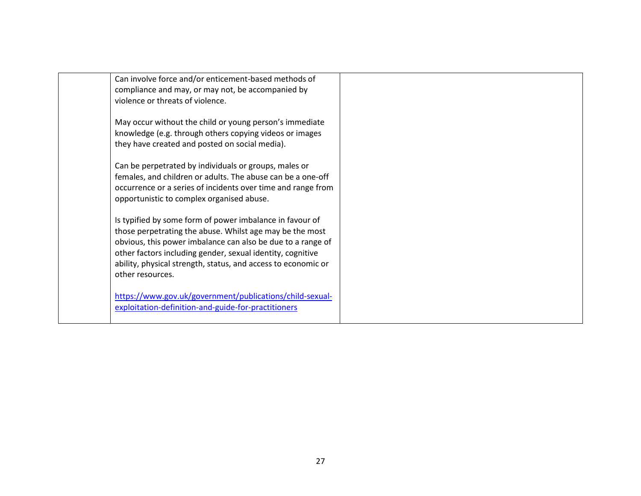| Can involve force and/or enticement-based methods of<br>compliance and may, or may not, be accompanied by               |  |
|-------------------------------------------------------------------------------------------------------------------------|--|
| violence or threats of violence.                                                                                        |  |
| May occur without the child or young person's immediate                                                                 |  |
| knowledge (e.g. through others copying videos or images<br>they have created and posted on social media).               |  |
|                                                                                                                         |  |
| Can be perpetrated by individuals or groups, males or<br>females, and children or adults. The abuse can be a one-off    |  |
| occurrence or a series of incidents over time and range from                                                            |  |
| opportunistic to complex organised abuse.                                                                               |  |
| Is typified by some form of power imbalance in favour of                                                                |  |
| those perpetrating the abuse. Whilst age may be the most<br>obvious, this power imbalance can also be due to a range of |  |
| other factors including gender, sexual identity, cognitive                                                              |  |
| ability, physical strength, status, and access to economic or<br>other resources.                                       |  |
|                                                                                                                         |  |
| https://www.gov.uk/government/publications/child-sexual-<br>exploitation-definition-and-guide-for-practitioners         |  |
|                                                                                                                         |  |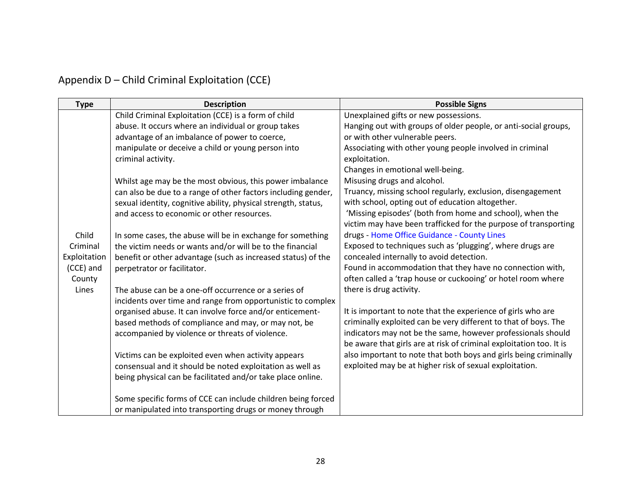# <span id="page-27-0"></span>Appendix D – Child Criminal Exploitation (CCE)

| <b>Type</b>  | <b>Description</b>                                             | <b>Possible Signs</b>                                               |
|--------------|----------------------------------------------------------------|---------------------------------------------------------------------|
|              | Child Criminal Exploitation (CCE) is a form of child           | Unexplained gifts or new possessions.                               |
|              | abuse. It occurs where an individual or group takes            | Hanging out with groups of older people, or anti-social groups,     |
|              | advantage of an imbalance of power to coerce,                  | or with other vulnerable peers.                                     |
|              | manipulate or deceive a child or young person into             | Associating with other young people involved in criminal            |
|              | criminal activity.                                             | exploitation.                                                       |
|              |                                                                | Changes in emotional well-being.                                    |
|              | Whilst age may be the most obvious, this power imbalance       | Misusing drugs and alcohol.                                         |
|              | can also be due to a range of other factors including gender,  | Truancy, missing school regularly, exclusion, disengagement         |
|              | sexual identity, cognitive ability, physical strength, status, | with school, opting out of education altogether.                    |
|              | and access to economic or other resources.                     | 'Missing episodes' (both from home and school), when the            |
|              |                                                                | victim may have been trafficked for the purpose of transporting     |
| Child        | In some cases, the abuse will be in exchange for something     | drugs - Home Office Guidance - County Lines                         |
| Criminal     | the victim needs or wants and/or will be to the financial      | Exposed to techniques such as 'plugging', where drugs are           |
| Exploitation | benefit or other advantage (such as increased status) of the   | concealed internally to avoid detection.                            |
| (CCE) and    | perpetrator or facilitator.                                    | Found in accommodation that they have no connection with,           |
| County       |                                                                | often called a 'trap house or cuckooing' or hotel room where        |
| Lines        | The abuse can be a one-off occurrence or a series of           | there is drug activity.                                             |
|              | incidents over time and range from opportunistic to complex    |                                                                     |
|              | organised abuse. It can involve force and/or enticement-       | It is important to note that the experience of girls who are        |
|              | based methods of compliance and may, or may not, be            | criminally exploited can be very different to that of boys. The     |
|              | accompanied by violence or threats of violence.                | indicators may not be the same, however professionals should        |
|              |                                                                | be aware that girls are at risk of criminal exploitation too. It is |
|              | Victims can be exploited even when activity appears            | also important to note that both boys and girls being criminally    |
|              | consensual and it should be noted exploitation as well as      | exploited may be at higher risk of sexual exploitation.             |
|              | being physical can be facilitated and/or take place online.    |                                                                     |
|              |                                                                |                                                                     |
|              | Some specific forms of CCE can include children being forced   |                                                                     |
|              | or manipulated into transporting drugs or money through        |                                                                     |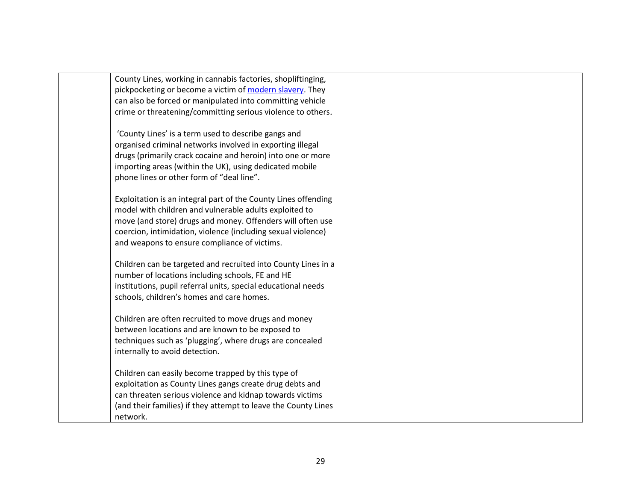| County Lines, working in cannabis factories, shopliftinging,   |  |
|----------------------------------------------------------------|--|
| pickpocketing or become a victim of modern slavery. They       |  |
| can also be forced or manipulated into committing vehicle      |  |
| crime or threatening/committing serious violence to others.    |  |
|                                                                |  |
| 'County Lines' is a term used to describe gangs and            |  |
| organised criminal networks involved in exporting illegal      |  |
| drugs (primarily crack cocaine and heroin) into one or more    |  |
| importing areas (within the UK), using dedicated mobile        |  |
| phone lines or other form of "deal line".                      |  |
|                                                                |  |
| Exploitation is an integral part of the County Lines offending |  |
| model with children and vulnerable adults exploited to         |  |
| move (and store) drugs and money. Offenders will often use     |  |
| coercion, intimidation, violence (including sexual violence)   |  |
| and weapons to ensure compliance of victims.                   |  |
|                                                                |  |
| Children can be targeted and recruited into County Lines in a  |  |
| number of locations including schools, FE and HE               |  |
| institutions, pupil referral units, special educational needs  |  |
| schools, children's homes and care homes.                      |  |
|                                                                |  |
| Children are often recruited to move drugs and money           |  |
| between locations and are known to be exposed to               |  |
| techniques such as 'plugging', where drugs are concealed       |  |
| internally to avoid detection.                                 |  |
| Children can easily become trapped by this type of             |  |
| exploitation as County Lines gangs create drug debts and       |  |
| can threaten serious violence and kidnap towards victims       |  |
| (and their families) if they attempt to leave the County Lines |  |
| network.                                                       |  |
|                                                                |  |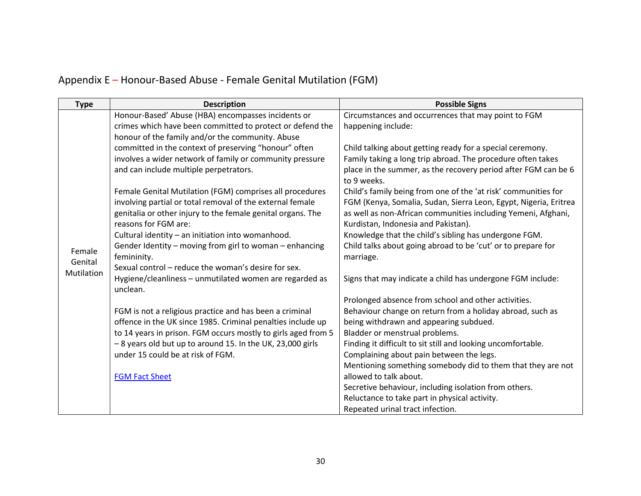# <span id="page-29-0"></span>Appendix E – Honour-Based Abuse - Female Genital Mutilation (FGM)

| <b>Type</b>           | <b>Description</b>                                                                                                       | <b>Possible Signs</b>                                                                                                             |
|-----------------------|--------------------------------------------------------------------------------------------------------------------------|-----------------------------------------------------------------------------------------------------------------------------------|
|                       | Honour-Based' Abuse (HBA) encompasses incidents or                                                                       | Circumstances and occurrences that may point to FGM                                                                               |
|                       | crimes which have been committed to protect or defend the                                                                | happening include:                                                                                                                |
|                       | honour of the family and/or the community. Abuse                                                                         |                                                                                                                                   |
|                       | committed in the context of preserving "honour" often                                                                    | Child talking about getting ready for a special ceremony.                                                                         |
|                       | involves a wider network of family or community pressure                                                                 | Family taking a long trip abroad. The procedure often takes                                                                       |
|                       | and can include multiple perpetrators.                                                                                   | place in the summer, as the recovery period after FGM can be 6<br>to 9 weeks.                                                     |
|                       | Female Genital Mutilation (FGM) comprises all procedures                                                                 | Child's family being from one of the 'at risk' communities for                                                                    |
|                       | involving partial or total removal of the external female<br>genitalia or other injury to the female genital organs. The | FGM (Kenya, Somalia, Sudan, Sierra Leon, Egypt, Nigeria, Eritrea<br>as well as non-African communities including Yemeni, Afghani, |
|                       | reasons for FGM are:                                                                                                     | Kurdistan, Indonesia and Pakistan).                                                                                               |
|                       | Cultural identity - an initiation into womanhood.                                                                        | Knowledge that the child's sibling has undergone FGM.                                                                             |
|                       | Gender Identity - moving from girl to woman - enhancing                                                                  | Child talks about going abroad to be 'cut' or to prepare for                                                                      |
| Female                | femininity.                                                                                                              | marriage.                                                                                                                         |
| Genital<br>Mutilation | Sexual control – reduce the woman's desire for sex.                                                                      |                                                                                                                                   |
|                       | Hygiene/cleanliness - unmutilated women are regarded as                                                                  | Signs that may indicate a child has undergone FGM include:                                                                        |
|                       | unclean.                                                                                                                 |                                                                                                                                   |
|                       |                                                                                                                          | Prolonged absence from school and other activities.                                                                               |
|                       | FGM is not a religious practice and has been a criminal                                                                  | Behaviour change on return from a holiday abroad, such as                                                                         |
|                       | offence in the UK since 1985. Criminal penalties include up                                                              | being withdrawn and appearing subdued.                                                                                            |
|                       | to 14 years in prison. FGM occurs mostly to girls aged from 5                                                            | Bladder or menstrual problems.                                                                                                    |
|                       | - 8 years old but up to around 15. In the UK, 23,000 girls                                                               | Finding it difficult to sit still and looking uncomfortable.                                                                      |
|                       | under 15 could be at risk of FGM.                                                                                        | Complaining about pain between the legs.                                                                                          |
|                       |                                                                                                                          | Mentioning something somebody did to them that they are not                                                                       |
|                       | <b>FGM Fact Sheet</b>                                                                                                    | allowed to talk about.                                                                                                            |
|                       |                                                                                                                          | Secretive behaviour, including isolation from others.                                                                             |
|                       |                                                                                                                          | Reluctance to take part in physical activity.                                                                                     |
|                       |                                                                                                                          | Repeated urinal tract infection.                                                                                                  |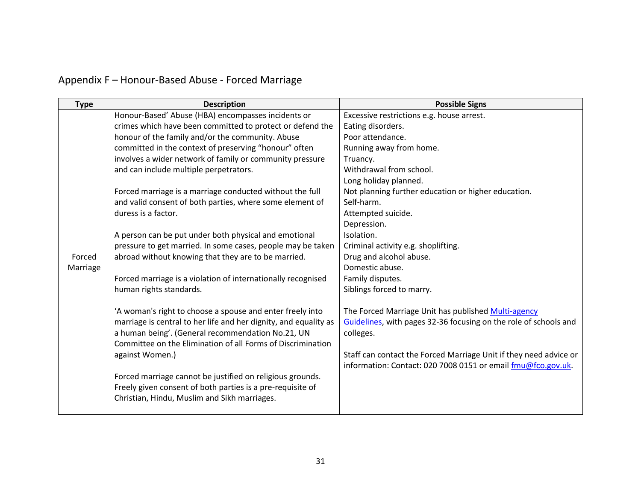# <span id="page-30-0"></span>Appendix F – Honour-Based Abuse - Forced Marriage

| <b>Type</b> | <b>Description</b>                                               | <b>Possible Signs</b>                                             |
|-------------|------------------------------------------------------------------|-------------------------------------------------------------------|
|             | Honour-Based' Abuse (HBA) encompasses incidents or               | Excessive restrictions e.g. house arrest.                         |
|             | crimes which have been committed to protect or defend the        | Eating disorders.                                                 |
|             | honour of the family and/or the community. Abuse                 | Poor attendance.                                                  |
|             | committed in the context of preserving "honour" often            | Running away from home.                                           |
|             | involves a wider network of family or community pressure         | Truancy.                                                          |
|             | and can include multiple perpetrators.                           | Withdrawal from school.                                           |
|             |                                                                  | Long holiday planned.                                             |
|             | Forced marriage is a marriage conducted without the full         | Not planning further education or higher education.               |
|             | and valid consent of both parties, where some element of         | Self-harm.                                                        |
|             | duress is a factor.                                              | Attempted suicide.                                                |
|             |                                                                  | Depression.                                                       |
|             | A person can be put under both physical and emotional            | Isolation.                                                        |
|             | pressure to get married. In some cases, people may be taken      | Criminal activity e.g. shoplifting.                               |
| Forced      | abroad without knowing that they are to be married.              | Drug and alcohol abuse.                                           |
| Marriage    |                                                                  | Domestic abuse.                                                   |
|             | Forced marriage is a violation of internationally recognised     | Family disputes.                                                  |
|             | human rights standards.                                          | Siblings forced to marry.                                         |
|             | 'A woman's right to choose a spouse and enter freely into        | The Forced Marriage Unit has published Multi-agency               |
|             | marriage is central to her life and her dignity, and equality as | Guidelines, with pages 32-36 focusing on the role of schools and  |
|             | a human being'. (General recommendation No.21, UN                | colleges.                                                         |
|             | Committee on the Elimination of all Forms of Discrimination      |                                                                   |
|             | against Women.)                                                  | Staff can contact the Forced Marriage Unit if they need advice or |
|             |                                                                  | information: Contact: 020 7008 0151 or email fmu@fco.gov.uk.      |
|             | Forced marriage cannot be justified on religious grounds.        |                                                                   |
|             | Freely given consent of both parties is a pre-requisite of       |                                                                   |
|             | Christian, Hindu, Muslim and Sikh marriages.                     |                                                                   |
|             |                                                                  |                                                                   |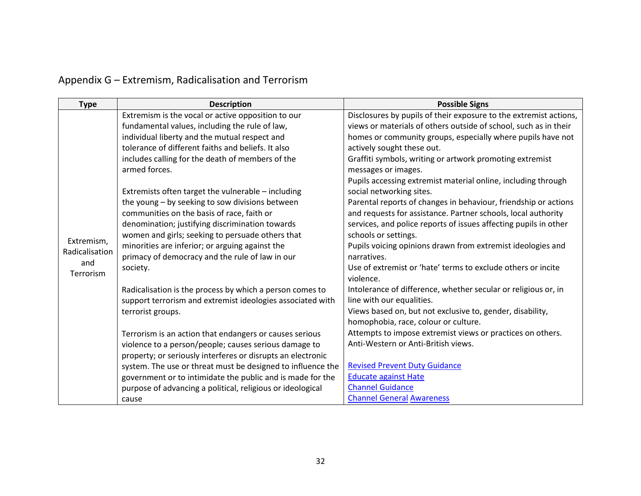# <span id="page-31-0"></span>Appendix G – Extremism, Radicalisation and Terrorism

| <b>Type</b>                  | <b>Description</b>                                                | <b>Possible Signs</b>                                                           |
|------------------------------|-------------------------------------------------------------------|---------------------------------------------------------------------------------|
|                              | Extremism is the vocal or active opposition to our                | Disclosures by pupils of their exposure to the extremist actions,               |
|                              | fundamental values, including the rule of law,                    | views or materials of others outside of school, such as in their                |
|                              | individual liberty and the mutual respect and                     | homes or community groups, especially where pupils have not                     |
|                              | tolerance of different faiths and beliefs. It also                | actively sought these out.                                                      |
|                              | includes calling for the death of members of the<br>armed forces. | Graffiti symbols, writing or artwork promoting extremist<br>messages or images. |
|                              |                                                                   | Pupils accessing extremist material online, including through                   |
|                              | Extremists often target the vulnerable - including                | social networking sites.                                                        |
|                              | the young - by seeking to sow divisions between                   | Parental reports of changes in behaviour, friendship or actions                 |
|                              | communities on the basis of race, faith or                        | and requests for assistance. Partner schools, local authority                   |
|                              | denomination; justifying discrimination towards                   | services, and police reports of issues affecting pupils in other                |
|                              | women and girls; seeking to persuade others that                  | schools or settings.                                                            |
| Extremism,<br>Radicalisation | minorities are inferior; or arguing against the                   | Pupils voicing opinions drawn from extremist ideologies and                     |
| and                          | primacy of democracy and the rule of law in our                   | narratives.                                                                     |
| <b>Terrorism</b>             | society.                                                          | Use of extremist or 'hate' terms to exclude others or incite                    |
|                              |                                                                   | violence.                                                                       |
|                              | Radicalisation is the process by which a person comes to          | Intolerance of difference, whether secular or religious or, in                  |
|                              | support terrorism and extremist ideologies associated with        | line with our equalities.                                                       |
|                              | terrorist groups.                                                 | Views based on, but not exclusive to, gender, disability,                       |
|                              |                                                                   | homophobia, race, colour or culture.                                            |
|                              | Terrorism is an action that endangers or causes serious           | Attempts to impose extremist views or practices on others.                      |
|                              | violence to a person/people; causes serious damage to             | Anti-Western or Anti-British views.                                             |
|                              | property; or seriously interferes or disrupts an electronic       |                                                                                 |
|                              | system. The use or threat must be designed to influence the       | <b>Revised Prevent Duty Guidance</b>                                            |
|                              | government or to intimidate the public and is made for the        | <b>Educate against Hate</b>                                                     |
|                              | purpose of advancing a political, religious or ideological        | <b>Channel Guidance</b>                                                         |
|                              | cause                                                             | <b>Channel General Awareness</b>                                                |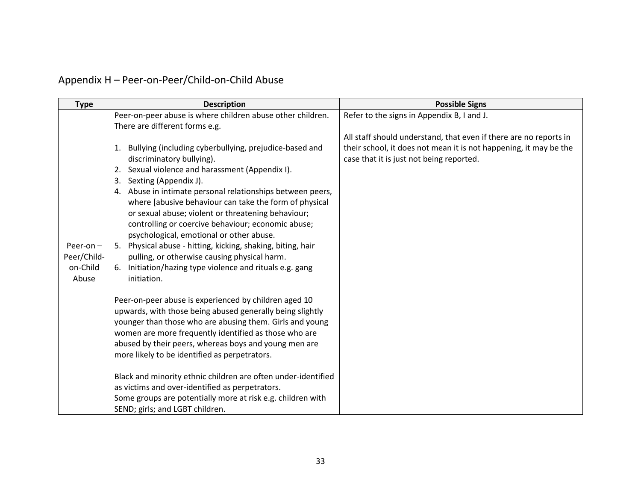<span id="page-32-0"></span>Appendix H – Peer-on-Peer/Child-on-Child Abuse

| <b>Type</b> | <b>Description</b>                                                                                       | <b>Possible Signs</b>                                             |
|-------------|----------------------------------------------------------------------------------------------------------|-------------------------------------------------------------------|
|             | Peer-on-peer abuse is where children abuse other children.                                               | Refer to the signs in Appendix B, I and J.                        |
|             | There are different forms e.g.                                                                           |                                                                   |
|             |                                                                                                          | All staff should understand, that even if there are no reports in |
|             | Bullying (including cyberbullying, prejudice-based and<br>1.                                             | their school, it does not mean it is not happening, it may be the |
|             | discriminatory bullying).                                                                                | case that it is just not being reported.                          |
|             | Sexual violence and harassment (Appendix I).<br>2.                                                       |                                                                   |
|             | Sexting (Appendix J).<br>3.                                                                              |                                                                   |
|             | 4. Abuse in intimate personal relationships between peers,                                               |                                                                   |
|             | where [abusive behaviour can take the form of physical                                                   |                                                                   |
|             | or sexual abuse; violent or threatening behaviour;<br>controlling or coercive behaviour; economic abuse; |                                                                   |
|             | psychological, emotional or other abuse.                                                                 |                                                                   |
| Peer-on $-$ | 5. Physical abuse - hitting, kicking, shaking, biting, hair                                              |                                                                   |
| Peer/Child- | pulling, or otherwise causing physical harm.                                                             |                                                                   |
| on-Child    | Initiation/hazing type violence and rituals e.g. gang<br>6.                                              |                                                                   |
| Abuse       | initiation.                                                                                              |                                                                   |
|             |                                                                                                          |                                                                   |
|             | Peer-on-peer abuse is experienced by children aged 10                                                    |                                                                   |
|             | upwards, with those being abused generally being slightly                                                |                                                                   |
|             | younger than those who are abusing them. Girls and young                                                 |                                                                   |
|             | women are more frequently identified as those who are                                                    |                                                                   |
|             | abused by their peers, whereas boys and young men are                                                    |                                                                   |
|             | more likely to be identified as perpetrators.                                                            |                                                                   |
|             | Black and minority ethnic children are often under-identified                                            |                                                                   |
|             | as victims and over-identified as perpetrators.                                                          |                                                                   |
|             | Some groups are potentially more at risk e.g. children with                                              |                                                                   |
|             | SEND; girls; and LGBT children.                                                                          |                                                                   |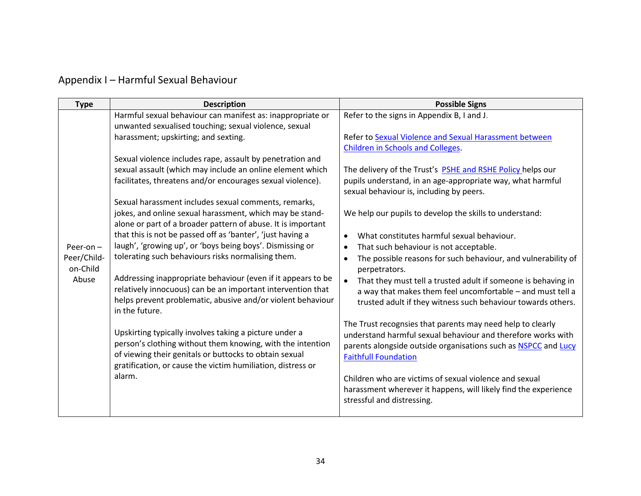# <span id="page-33-0"></span>Appendix I – Harmful Sexual Behaviour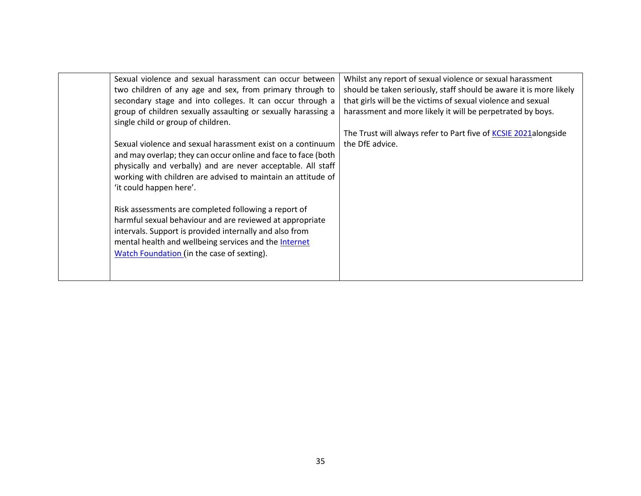<span id="page-34-0"></span>

| Sexual violence and sexual harassment can occur between<br>two children of any age and sex, from primary through to<br>secondary stage and into colleges. It can occur through a<br>group of children sexually assaulting or sexually harassing a<br>single child or group of children.<br>Sexual violence and sexual harassment exist on a continuum<br>and may overlap; they can occur online and face to face (both<br>physically and verbally) and are never acceptable. All staff<br>working with children are advised to maintain an attitude of<br>'it could happen here'.<br>Risk assessments are completed following a report of<br>harmful sexual behaviour and are reviewed at appropriate<br>intervals. Support is provided internally and also from<br>mental health and wellbeing services and the Internet<br>Watch Foundation (in the case of sexting). | Whilst any report of sexual violence or sexual harassment<br>should be taken seriously, staff should be aware it is more likely<br>that girls will be the victims of sexual violence and sexual<br>harassment and more likely it will be perpetrated by boys.<br>The Trust will always refer to Part five of KCSIE 2021alongside<br>the DfE advice. |
|-------------------------------------------------------------------------------------------------------------------------------------------------------------------------------------------------------------------------------------------------------------------------------------------------------------------------------------------------------------------------------------------------------------------------------------------------------------------------------------------------------------------------------------------------------------------------------------------------------------------------------------------------------------------------------------------------------------------------------------------------------------------------------------------------------------------------------------------------------------------------|-----------------------------------------------------------------------------------------------------------------------------------------------------------------------------------------------------------------------------------------------------------------------------------------------------------------------------------------------------|
|-------------------------------------------------------------------------------------------------------------------------------------------------------------------------------------------------------------------------------------------------------------------------------------------------------------------------------------------------------------------------------------------------------------------------------------------------------------------------------------------------------------------------------------------------------------------------------------------------------------------------------------------------------------------------------------------------------------------------------------------------------------------------------------------------------------------------------------------------------------------------|-----------------------------------------------------------------------------------------------------------------------------------------------------------------------------------------------------------------------------------------------------------------------------------------------------------------------------------------------------|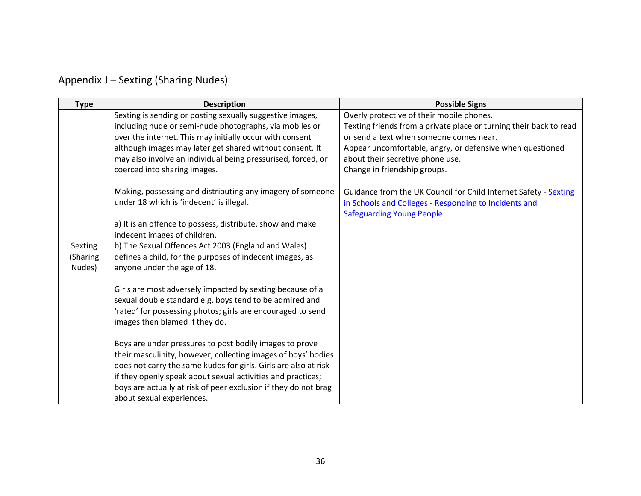| Appendix J – Sexting (Sharing Nudes) |  |  |  |
|--------------------------------------|--|--|--|
|--------------------------------------|--|--|--|

| <b>Type</b>                   | <b>Description</b>                                                                                                                                                                                                                                                                                                                                         | <b>Possible Signs</b>                                                                                                                                                                                                                                                                       |
|-------------------------------|------------------------------------------------------------------------------------------------------------------------------------------------------------------------------------------------------------------------------------------------------------------------------------------------------------------------------------------------------------|---------------------------------------------------------------------------------------------------------------------------------------------------------------------------------------------------------------------------------------------------------------------------------------------|
|                               | Sexting is sending or posting sexually suggestive images,<br>including nude or semi-nude photographs, via mobiles or<br>over the internet. This may initially occur with consent<br>although images may later get shared without consent. It<br>may also involve an individual being pressurised, forced, or<br>coerced into sharing images.               | Overly protective of their mobile phones.<br>Texting friends from a private place or turning their back to read<br>or send a text when someone comes near.<br>Appear uncomfortable, angry, or defensive when questioned<br>about their secretive phone use.<br>Change in friendship groups. |
|                               | Making, possessing and distributing any imagery of someone<br>under 18 which is 'indecent' is illegal.<br>a) It is an offence to possess, distribute, show and make<br>indecent images of children.                                                                                                                                                        | Guidance from the UK Council for Child Internet Safety - Sexting<br>in Schools and Colleges - Responding to Incidents and<br><b>Safeguarding Young People</b>                                                                                                                               |
| Sexting<br>(Sharing<br>Nudes) | b) The Sexual Offences Act 2003 (England and Wales)<br>defines a child, for the purposes of indecent images, as<br>anyone under the age of 18.                                                                                                                                                                                                             |                                                                                                                                                                                                                                                                                             |
|                               | Girls are most adversely impacted by sexting because of a<br>sexual double standard e.g. boys tend to be admired and<br>'rated' for possessing photos; girls are encouraged to send<br>images then blamed if they do.                                                                                                                                      |                                                                                                                                                                                                                                                                                             |
|                               | Boys are under pressures to post bodily images to prove<br>their masculinity, however, collecting images of boys' bodies<br>does not carry the same kudos for girls. Girls are also at risk<br>if they openly speak about sexual activities and practices;<br>boys are actually at risk of peer exclusion if they do not brag<br>about sexual experiences. |                                                                                                                                                                                                                                                                                             |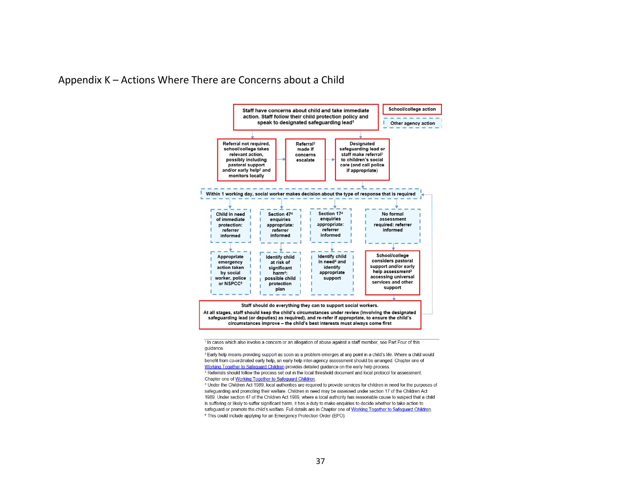<span id="page-36-0"></span>



<sup>1</sup> In cases which also involve a concern or an allegation of abuse against a staff member, see Part Four of this guidance.

<sup>2</sup> Early help means providing support as soon as a problem emerges at any point in a child's life. Where a child would benefit from co-ordinated early help, an early help inter-agency assessment should be arranged. Chapter one of Working Together to Safequard Children provides detailed guidance on the early help process. <sup>3</sup> Referrals should follow the process set out in the local threshold document and local protocol for assessment.

Chapter one of Working Together to Safeguard Children. 4 Under the Children Act 1989, local authorities are required to provide services for children in need for the purposes of safeguarding and promoting their welfare. Children in need may be assessed under section 17 of the Children Act 1989. Under section 47 of the Children Act 1989, where a local authority has reasonable cause to suspect that a child is suffering or likely to suffer significant harm, it has a duty to make enguiries to decide whether to take action to safequard or promote the child's welfare. Full details are in Chapter one of Working Together to Safequard Children.

<sup>5</sup> This could include applying for an Emergency Protection Order (EPO).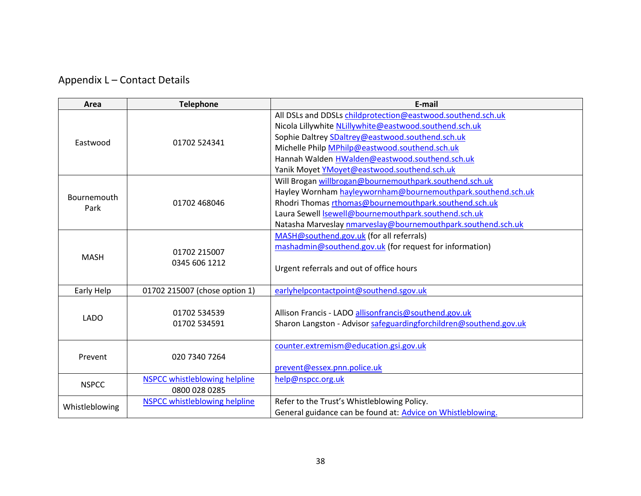<span id="page-37-0"></span>Appendix L – Contact Details

| Area           | <b>Telephone</b>                     | E-mail                                                                                                                     |
|----------------|--------------------------------------|----------------------------------------------------------------------------------------------------------------------------|
|                |                                      | All DSLs and DDSLs childprotection@eastwood.southend.sch.uk                                                                |
|                | 01702 524341                         | Nicola Lillywhite NLillywhite@eastwood.southend.sch.uk                                                                     |
| Eastwood       |                                      | Sophie Daltrey SDaltrey@eastwood.southend.sch.uk                                                                           |
|                |                                      | Michelle Philp MPhilp@eastwood.southend.sch.uk                                                                             |
|                |                                      | Hannah Walden HWalden@eastwood.southend.sch.uk                                                                             |
|                |                                      | Yanik Moyet YMoyet@eastwood.southend.sch.uk                                                                                |
|                |                                      | Will Brogan willbrogan@bournemouthpark.southend.sch.uk                                                                     |
| Bournemouth    |                                      | Hayley Wornham hayleywornham@bournemouthpark.southend.sch.uk                                                               |
| Park           | 01702 468046                         | Rhodri Thomas rthomas@bournemouthpark.southend.sch.uk                                                                      |
|                |                                      | Laura Sewell Isewell@bournemouthpark.southend.sch.uk                                                                       |
|                |                                      | Natasha Marveslay nmarveslay@bournemouthpark.southend.sch.uk                                                               |
| <b>MASH</b>    |                                      | MASH@southend.gov.uk (for all referrals)                                                                                   |
|                | 01702 215007<br>0345 606 1212        | mashadmin@southend.gov.uk (for request for information)                                                                    |
|                |                                      | Urgent referrals and out of office hours                                                                                   |
| Early Help     | 01702 215007 (chose option 1)        | earlyhelpcontactpoint@southend.sgov.uk                                                                                     |
| <b>LADO</b>    | 01702 534539<br>01702 534591         | Allison Francis - LADO allisonfrancis@southend.gov.uk<br>Sharon Langston - Advisor safeguardingforchildren@southend.gov.uk |
| Prevent        |                                      | counter.extremism@education.gsi.gov.uk                                                                                     |
|                | 020 7340 7264                        |                                                                                                                            |
|                |                                      | prevent@essex.pnn.police.uk                                                                                                |
| <b>NSPCC</b>   | <b>NSPCC whistleblowing helpline</b> | help@nspcc.org.uk                                                                                                          |
|                | 0800 028 0285                        |                                                                                                                            |
|                | <b>NSPCC whistleblowing helpline</b> | Refer to the Trust's Whistleblowing Policy.                                                                                |
| Whistleblowing |                                      | General guidance can be found at: Advice on Whistleblowing.                                                                |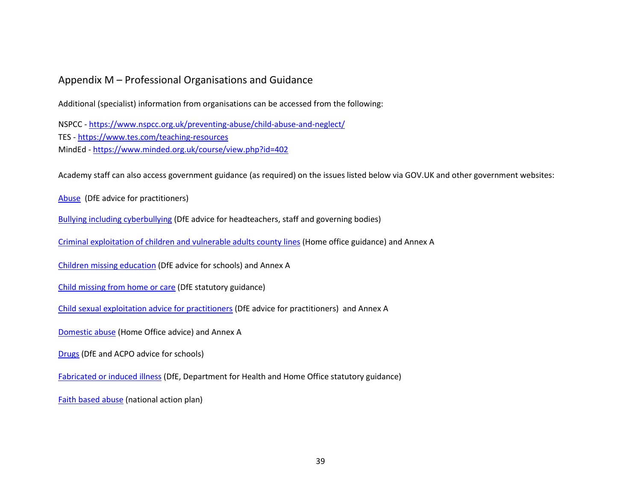### <span id="page-38-0"></span>Appendix M – Professional Organisations and Guidance

Additional (specialist) information from organisations can be accessed from the following:

NSPCC - <https://www.nspcc.org.uk/preventing-abuse/child-abuse-and-neglect/> TES - <https://www.tes.com/teaching-resources> MindEd - <https://www.minded.org.uk/course/view.php?id=402>

Academy staff can also access government guidance (as required) on the issues listed below via GOV.UK and other government websites:

[Abuse](https://www.gov.uk/government/publications/what-to-do-if-youre-worried-a-child-is-being-abused--2) (DfE advice for practitioners)

[Bullying including cyberbullying](https://www.gov.uk/government/publications/preventing-and-tackling-bullying) [\(D](https://www.gov.uk/government/publications/preventing-and-tackling-bullying)fE advice for headteachers, staff and governing bodies)

[Criminal exploitation of children and vulnerable adults county lines](https://www.gov.uk/government/publications/criminal-exploitation-of-children-and-vulnerable-adults-county-lines) [\(](https://www.gov.uk/government/publications/criminal-exploitation-of-children-and-vulnerable-adults-county-lines)Home office guidance) and Annex A

[Children missing education](https://www.gov.uk/government/publications/children-missing-education) (DfE advice for schools) and Annex A

[Child missing from home or care](https://www.gov.uk/government/publications/children-who-run-away-or-go-missing-from-home-or-care) [\(](https://www.gov.uk/government/publications/children-who-run-away-or-go-missing-from-home-or-care)DfE statutory guidance)

[Child sexual exploitation advice for practitioners](https://www.gov.uk/government/publications/child-sexual-exploitation-definition-and-guide-for-practitioners) (DfE advice for practitioners) and Annex A

[Domestic abuse](https://www.gov.uk/domestic-violence-and-abuse) [\(](https://www.gov.uk/domestic-violence-and-abuse)Home Office advice) and Annex A

[Drugs](https://www.gov.uk/government/publications/drugs-advice-for-schools) [\(](https://www.gov.uk/government/publications/drugs-advice-for-schools)DfE and ACPO advice for schools)

[Fabricated or induced illness](https://www.gov.uk/government/publications/safeguarding-children-in-whom-illness-is-fabricated-or-induced) (DfE, Department for Health and Home Office statutory guidance)

[Faith based abuse](https://www.gov.uk/government/publications/national-action-plan-to-tackle-child-abuse-linked-to-faith-or-belief) (national action plan)